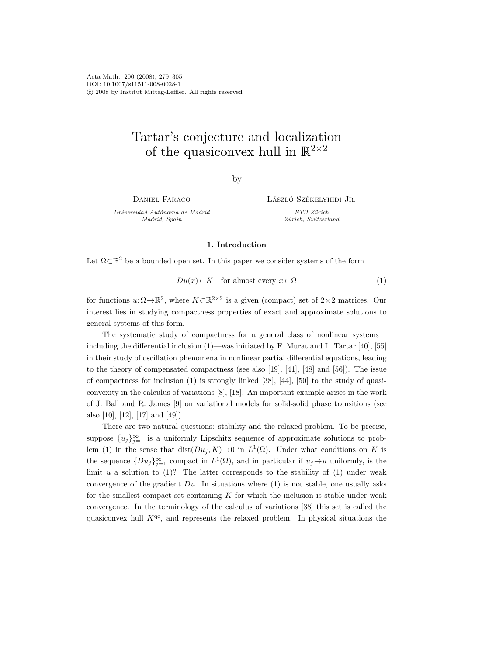Acta Math., 200 (2008), 279–305 DOI: 10.1007/s11511-008-0028-1 c 2008 by Institut Mittag-Leffler. All rights reserved

# Tartar's conjecture and localization of the quasiconvex hull in  $\mathbb{R}^{2\times 2}$

by

Daniel Faraco

Universidad Autónoma de Madrid Madrid, Spain

LÁSZLÓ SZÉKELYHIDI JR.

ETH Zürich Zürich, Switzerland

# 1. Introduction

Let  $\Omega \subset \mathbb{R}^2$  be a bounded open set. In this paper we consider systems of the form

$$
Du(x) \in K \quad \text{for almost every } x \in \Omega \tag{1}
$$

for functions  $u:\Omega \to \mathbb{R}^2$ , where  $K\subset \mathbb{R}^{2\times 2}$  is a given (compact) set of  $2\times 2$  matrices. Our interest lies in studying compactness properties of exact and approximate solutions to general systems of this form.

The systematic study of compactness for a general class of nonlinear systems including the differential inclusion  $(1)$ —was initiated by F. Murat and L. Tartar [40], [55] in their study of oscillation phenomena in nonlinear partial differential equations, leading to the theory of compensated compactness (see also [19], [41], [48] and [56]). The issue of compactness for inclusion (1) is strongly linked [38], [44], [50] to the study of quasiconvexity in the calculus of variations [8], [18]. An important example arises in the work of J. Ball and R. James [9] on variational models for solid-solid phase transitions (see also [10], [12], [17] and [49]).

There are two natural questions: stability and the relaxed problem. To be precise, suppose  $\{u_j\}_{j=1}^{\infty}$  is a uniformly Lipschitz sequence of approximate solutions to problem (1) in the sense that  $dist(Du_j, K) \to 0$  in  $L^1(\Omega)$ . Under what conditions on K is the sequence  $\{Du_j\}_{j=1}^{\infty}$  compact in  $L^1(\Omega)$ , and in particular if  $u_j \to u$  uniformly, is the limit  $u$  a solution to  $(1)$ ? The latter corresponds to the stability of  $(1)$  under weak convergence of the gradient  $Du$ . In situations where (1) is not stable, one usually asks for the smallest compact set containing  $K$  for which the inclusion is stable under weak convergence. In the terminology of the calculus of variations [38] this set is called the quasiconvex hull  $K^{qc}$ , and represents the relaxed problem. In physical situations the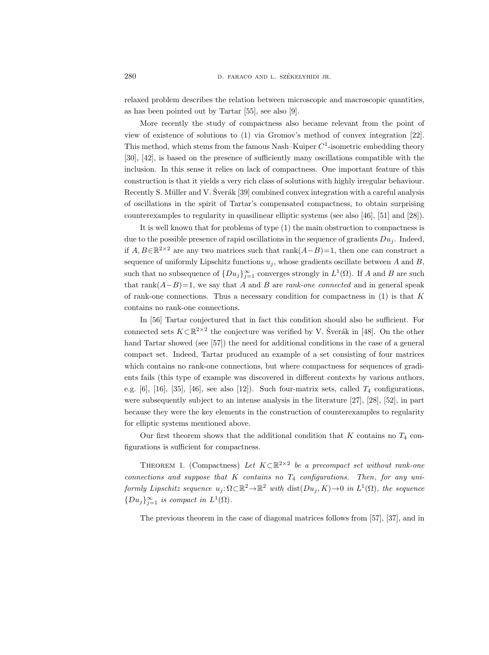relaxed problem describes the relation between microscopic and macroscopic quantities, as has been pointed out by Tartar [55], see also [9].

More recently the study of compactness also became relevant from the point of view of existence of solutions to (1) via Gromov's method of convex integration [22]. This method, which stems from the famous Nash–Kuiper  $C^1$ -isometric embedding theory [30], [42], is based on the presence of sufficiently many oscillations compatible with the inclusion. In this sense it relies on lack of compactness. One important feature of this construction is that it yields a very rich class of solutions with highly irregular behaviour. Recently S. Müller and V. Sverák [39] combined convex integration with a careful analysis of oscillations in the spirit of Tartar's compensated compactness, to obtain surprising counterexamples to regularity in quasilinear elliptic systems (see also [46], [51] and [28]).

It is well known that for problems of type (1) the main obstruction to compactness is due to the possible presence of rapid oscillations in the sequence of gradients  $Du_i$ . Indeed, if  $A, B \in \mathbb{R}^{2 \times 2}$  are any two matrices such that rank $(A-B)=1$ , then one can construct a sequence of uniformly Lipschitz functions  $u_j$ , whose gradients oscillate between A and B, such that no subsequence of  $\{Du_j\}_{j=1}^{\infty}$  converges strongly in  $L^1(\Omega)$ . If A and B are such that rank $(A-B)=1$ , we say that A and B are *rank-one connected* and in general speak of rank-one connections. Thus a necessary condition for compactness in  $(1)$  is that K contains no rank-one connections.

In [56] Tartar conjectured that in fact this condition should also be sufficient. For connected sets  $K \subset \mathbb{R}^{2 \times 2}$  the conjecture was verified by V. Šverák in [48]. On the other hand Tartar showed (see [57]) the need for additional conditions in the case of a general compact set. Indeed, Tartar produced an example of a set consisting of four matrices which contains no rank-one connections, but where compactness for sequences of gradients fails (this type of example was discovered in different contexts by various authors, e.g. [6], [16], [35], [46], see also [12]). Such four-matrix sets, called  $T_4$  configurations, were subsequently subject to an intense analysis in the literature [27], [28], [52], in part because they were the key elements in the construction of counterexamples to regularity for elliptic systems mentioned above.

Our first theorem shows that the additional condition that  $K$  contains no  $T_4$  configurations is sufficient for compactness.

THEOREM 1. (Compactness) Let  $K \subset \mathbb{R}^{2 \times 2}$  be a precompact set without rank-one connections and suppose that K contains no  $T_4$  configurations. Then, for any uniformly Lipschitz sequence  $u_j : \Omega \subset \mathbb{R}^2 \to \mathbb{R}^2$  with  $dist(Du_j, K) \to 0$  in  $L^1(\Omega)$ , the sequence  ${D u<sub>j</sub>}_{j=1}^{\infty}$  is compact in  $L^1(\Omega)$ .

The previous theorem in the case of diagonal matrices follows from [57], [37], and in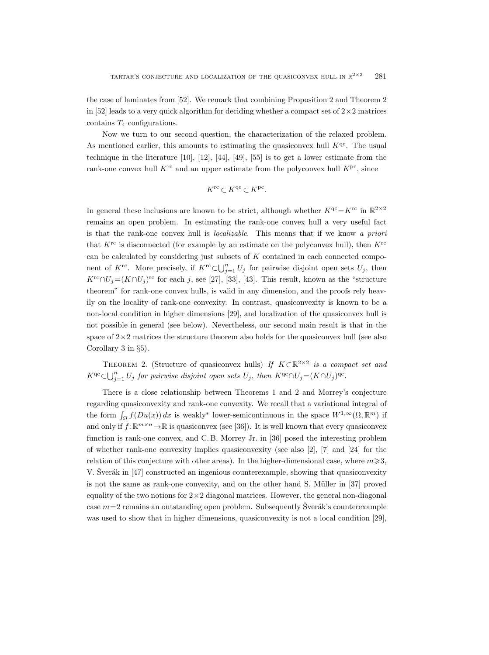the case of laminates from [52]. We remark that combining Proposition 2 and Theorem 2 in [52] leads to a very quick algorithm for deciding whether a compact set of  $2\times 2$  matrices contains  $T_4$  configurations.

Now we turn to our second question, the characterization of the relaxed problem. As mentioned earlier, this amounts to estimating the quasiconvex hull  $K<sup>qc</sup>$ . The usual technique in the literature [10], [12], [44], [49], [55] is to get a lower estimate from the rank-one convex hull  $K^{\text{rc}}$  and an upper estimate from the polyconvex hull  $K^{\text{pc}}$ , since

$$
K^{\rm rc}\subset K^{\rm qc}\subset K^{\rm pc}.
$$

In general these inclusions are known to be strict, although whether  $K<sup>qc</sup> = K<sup>rc</sup>$  in  $\mathbb{R}^{2 \times 2}$ remains an open problem. In estimating the rank-one convex hull a very useful fact is that the rank-one convex hull is localizable. This means that if we know a priori that  $K^{\text{rc}}$  is disconnected (for example by an estimate on the polyconvex hull), then  $K^{\text{rc}}$ can be calculated by considering just subsets of  $K$  contained in each connected component of K<sup>rc</sup>. More precisely, if K<sup>rc</sup>⊂ $\bigcup_{j=1}^{n} U_j$  for pairwise disjoint open sets  $U_j$ , then  $K^{\rm rc} \cap U_j = (K \cap U_j )^{\rm rc}$  for each j, see [27], [33], [43]. This result, known as the "structure theorem" for rank-one convex hulls, is valid in any dimension, and the proofs rely heavily on the locality of rank-one convexity. In contrast, quasiconvexity is known to be a non-local condition in higher dimensions [29], and localization of the quasiconvex hull is not possible in general (see below). Nevertheless, our second main result is that in the space of  $2\times 2$  matrices the structure theorem also holds for the quasiconvex hull (see also Corollary 3 in §5).

THEOREM 2. (Structure of quasiconvex hulls) If  $K \subset \mathbb{R}^{2 \times 2}$  is a compact set and  $K^{qc} \subset \bigcup_{j=1}^n U_j$  for pairwise disjoint open sets  $U_j$ , then  $K^{qc} \cap U_j = (K \cap U_j)^{qc}$ .

There is a close relationship between Theorems 1 and 2 and Morrey's conjecture regarding quasiconvexity and rank-one convexity. We recall that a variational integral of the form  $\int_{\Omega} f(Du(x)) dx$  is weakly<sup>∗</sup> lower-semicontinuous in the space  $W^{1,\infty}(\Omega, \mathbb{R}^m)$  if and only if  $f: \mathbb{R}^{m \times n} \to \mathbb{R}$  is quasiconvex (see [36]). It is well known that every quasiconvex function is rank-one convex, and C. B. Morrey Jr. in [36] posed the interesting problem of whether rank-one convexity implies quasiconvexity (see also [2], [7] and [24] for the relation of this conjecture with other areas). In the higher-dimensional case, where  $m \geqslant 3$ , V. Sverák in  $[47]$  constructed an ingenious counterexample, showing that quasiconvexity is not the same as rank-one convexity, and on the other hand S. Müller in [37] proved equality of the two notions for  $2\times 2$  diagonal matrices. However, the general non-diagonal case  $m=2$  remains an outstanding open problem. Subsequently Sverák's counterexample was used to show that in higher dimensions, quasiconvexity is not a local condition [29],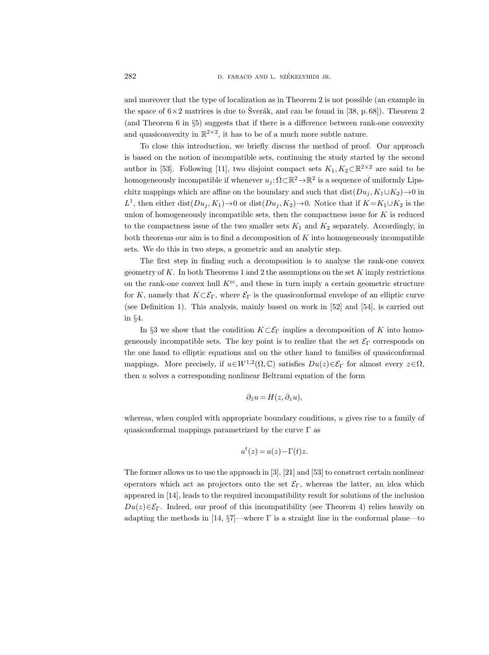and moreover that the type of localization as in Theorem 2 is not possible (an example in the space of  $6\times2$  matrices is due to Šverák, and can be found in [38, p. 68]). Theorem 2 (and Theorem 6 in §5) suggests that if there is a difference between rank-one convexity and quasiconvexity in  $\mathbb{R}^{2\times 2}$ , it has to be of a much more subtle nature.

To close this introduction, we briefly discuss the method of proof. Our approach is based on the notion of incompatible sets, continuing the study started by the second author in [53]. Following [11], two disjoint compact sets  $K_1, K_2 \subset \mathbb{R}^{2 \times 2}$  are said to be homogeneously incompatible if whenever  $u_j: \Omega \subset \mathbb{R}^2 \to \mathbb{R}^2$  is a sequence of uniformly Lipschitz mappings which are affine on the boundary and such that  $dist(Du_i, K_1\cup K_2)\rightarrow 0$  in L<sup>1</sup>, then either dist( $Du_j, K_1$ )  $\rightarrow$  0 or dist( $Du_j, K_2$ )  $\rightarrow$  0. Notice that if  $K = K_1 \cup K_2$  is the union of homogeneously incompatible sets, then the compactness issue for  $K$  is reduced to the compactness issue of the two smaller sets  $K_1$  and  $K_2$  separately. Accordingly, in both theorems our aim is to find a decomposition of  $K$  into homogeneously incompatible sets. We do this in two steps, a geometric and an analytic step.

The first step in finding such a decomposition is to analyse the rank-one convex geometry of K. In both Theorems 1 and 2 the assumptions on the set  $K$  imply restrictions on the rank-one convex hull  $K^{\text{rc}}$ , and these in turn imply a certain geometric structure for K, namely that  $K \subset \mathcal{E}_{\Gamma}$ , where  $\mathcal{E}_{\Gamma}$  is the quasiconformal envelope of an elliptic curve (see Definition 1). This analysis, mainly based on work in [52] and [54], is carried out in §4.

In §3 we show that the condition  $K\subset \mathcal{E}_{\Gamma}$  implies a decomposition of K into homogeneously incompatible sets. The key point is to realize that the set  $\mathcal{E}_{\Gamma}$  corresponds on the one hand to elliptic equations and on the other hand to families of quasiconformal mappings. More precisely, if  $u \in W^{1,2}(\Omega, \mathbb{C})$  satisfies  $Du(z) \in \mathcal{E}_{\Gamma}$  for almost every  $z \in \Omega$ , then u solves a corresponding nonlinear Beltrami equation of the form

$$
\partial_{\bar{z}}u = H(z, \partial_z u),
$$

whereas, when coupled with appropriate boundary conditions, u gives rise to a family of quasiconformal mappings parametrized by the curve  $\Gamma$  as

$$
u^{t}(z) = u(z) - \Gamma(t)z.
$$

The former allows us to use the approach in [3], [21] and [53] to construct certain nonlinear operators which act as projectors onto the set  $\mathcal{E}_{\Gamma}$ , whereas the latter, an idea which appeared in [14], leads to the required incompatibility result for solutions of the inclusion  $Du(z)\in\mathcal{E}_{\Gamma}$ . Indeed, our proof of this incompatibility (see Theorem 4) relies heavily on adapting the methods in [14, §7]—where Γ is a straight line in the conformal plane—to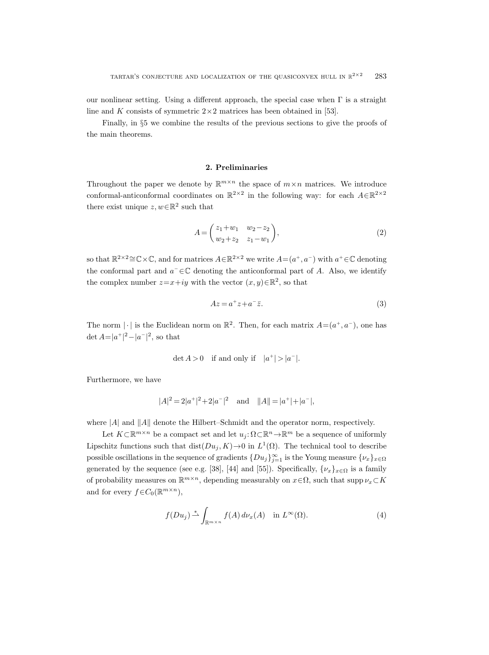our nonlinear setting. Using a different approach, the special case when  $\Gamma$  is a straight line and K consists of symmetric  $2 \times 2$  matrices has been obtained in [53].

Finally, in §5 we combine the results of the previous sections to give the proofs of the main theorems.

## 2. Preliminaries

Throughout the paper we denote by  $\mathbb{R}^{m \times n}$  the space of  $m \times n$  matrices. We introduce conformal-anticonformal coordinates on  $\mathbb{R}^{2\times 2}$  in the following way: for each  $A\in\mathbb{R}^{2\times 2}$ there exist unique  $z, w \in \mathbb{R}^2$  such that

$$
A = \begin{pmatrix} z_1 + w_1 & w_2 - z_2 \\ w_2 + z_2 & z_1 - w_1 \end{pmatrix},
$$
 (2)

so that  $\mathbb{R}^{2\times 2} \cong \mathbb{C} \times \mathbb{C}$ , and for matrices  $A \in \mathbb{R}^{2\times 2}$  we write  $A = (a^+, a^-)$  with  $a^+ \in \mathbb{C}$  denoting the conformal part and  $a^- \in \mathbb{C}$  denoting the anticonformal part of A. Also, we identify the complex number  $z=x+iy$  with the vector  $(x, y) \in \mathbb{R}^2$ , so that

$$
Az = a^+ z + a^- \overline{z}.\tag{3}
$$

The norm  $|\cdot|$  is the Euclidean norm on  $\mathbb{R}^2$ . Then, for each matrix  $A=(a^+,a^-)$ , one has det  $A = |a^+|^2 - |a^-|^2$ , so that

$$
\det A > 0 \quad \text{if and only if} \quad |a^+| > |a^-|.
$$

Furthermore, we have

$$
|A|^2 = 2|a^+|^2 + 2|a^-|^2
$$
 and  $||A|| = |a^+| + |a^-|$ ,

where  $|A|$  and  $||A||$  denote the Hilbert–Schmidt and the operator norm, respectively.

Let  $K\subset\mathbb{R}^{m\times n}$  be a compact set and let  $u_j\colon\Omega\subset\mathbb{R}^n\to\mathbb{R}^m$  be a sequence of uniformly Lipschitz functions such that  $dist(Du_j, K) \to 0$  in  $L^1(\Omega)$ . The technical tool to describe possible oscillations in the sequence of gradients  $\{Du_j\}_{j=1}^{\infty}$  is the Young measure  $\{\nu_x\}_{x\in\Omega}$ generated by the sequence (see e.g. [38], [44] and [55]). Specifically,  $\{\nu_x\}_{x\in\Omega}$  is a family of probability measures on  $\mathbb{R}^{m \times n}$ , depending measurably on  $x \in \Omega$ , such that supp  $\nu_x \subset K$ and for every  $f \in C_0(\mathbb{R}^{m \times n})$ ,

$$
f(Du_j) \stackrel{*}{\rightharpoonup} \int_{\mathbb{R}^{m \times n}} f(A) \, d\nu_x(A) \quad \text{in } L^{\infty}(\Omega). \tag{4}
$$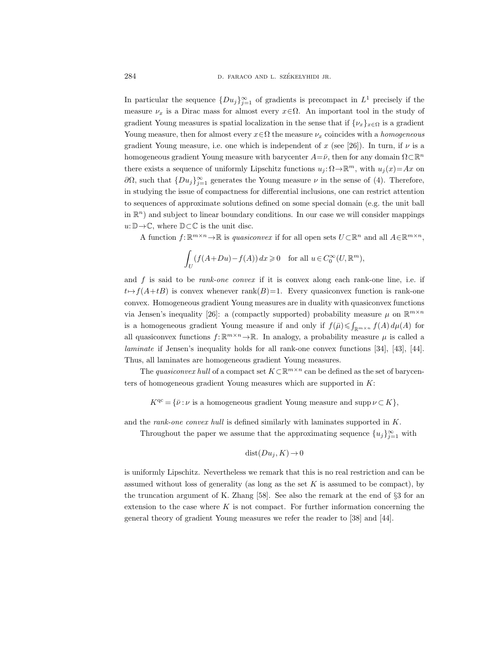In particular the sequence  $\{Du_j\}_{j=1}^{\infty}$  of gradients is precompact in  $L^1$  precisely if the measure  $\nu_x$  is a Dirac mass for almost every  $x \in \Omega$ . An important tool in the study of gradient Young measures is spatial localization in the sense that if  $\{\nu_x\}_{x\in\Omega}$  is a gradient Young measure, then for almost every  $x \in \Omega$  the measure  $\nu_x$  coincides with a *homogeneous* gradient Young measure, i.e. one which is independent of x (see [26]). In turn, if  $\nu$  is a homogeneous gradient Young measure with barycenter  $A = \bar{\nu}$ , then for any domain  $\Omega \subset \mathbb{R}^n$ there exists a sequence of uniformly Lipschitz functions  $u_j \colon \Omega \to \mathbb{R}^m$ , with  $u_j(x) = Ax$  on  $∂Ω$ , such that  ${Du_j}_{j=1}^\infty$  generates the Young measure  $ν$  in the sense of (4). Therefore, in studying the issue of compactness for differential inclusions, one can restrict attention to sequences of approximate solutions defined on some special domain (e.g. the unit ball in  $\mathbb{R}^n$ ) and subject to linear boundary conditions. In our case we will consider mappings  $u: \mathbb{D} \to \mathbb{C}$ , where  $\mathbb{D} \subset \mathbb{C}$  is the unit disc.

A function  $f: \mathbb{R}^{m \times n} \to \mathbb{R}$  is *quasiconvex* if for all open sets  $U \subset \mathbb{R}^n$  and all  $A \in \mathbb{R}^{m \times n}$ ,

$$
\int_U (f(A+Du)-f(A)) dx \geq 0 \quad \text{for all } u \in C_0^{\infty}(U,\mathbb{R}^m),
$$

and  $f$  is said to be *rank-one convex* if it is convex along each rank-one line, i.e. if  $t \mapsto f(A+tB)$  is convex whenever rank $(B)=1$ . Every quasiconvex function is rank-one convex. Homogeneous gradient Young measures are in duality with quasiconvex functions via Jensen's inequality [26]: a (compactly supported) probability measure  $\mu$  on  $\mathbb{R}^{m \times n}$ is a homogeneous gradient Young measure if and only if  $f(\bar{\mu}) \leq \int_{\mathbb{R}^{m} \times n} f(A) d\mu(A)$  for all quasiconvex functions  $f: \mathbb{R}^{m \times n} \to \mathbb{R}$ . In analogy, a probability measure  $\mu$  is called a laminate if Jensen's inequality holds for all rank-one convex functions [34], [43], [44]. Thus, all laminates are homogeneous gradient Young measures.

The quasiconvex hull of a compact set  $K\subset\mathbb{R}^{m\times n}$  can be defined as the set of barycenters of homogeneous gradient Young measures which are supported in  $K$ :

 $K<sup>qc</sup> = {\bar{\nu} : \nu$  is a homogeneous gradient Young measure and supp  $\nu \subset K$ ,

and the rank-one convex hull is defined similarly with laminates supported in K.

Throughout the paper we assume that the approximating sequence  ${u_j}_{j=1}^{\infty}$  with

$$
dist(Du_j, K) \to 0
$$

is uniformly Lipschitz. Nevertheless we remark that this is no real restriction and can be assumed without loss of generality (as long as the set  $K$  is assumed to be compact), by the truncation argument of K. Zhang [58]. See also the remark at the end of §3 for an extension to the case where  $K$  is not compact. For further information concerning the general theory of gradient Young measures we refer the reader to [38] and [44].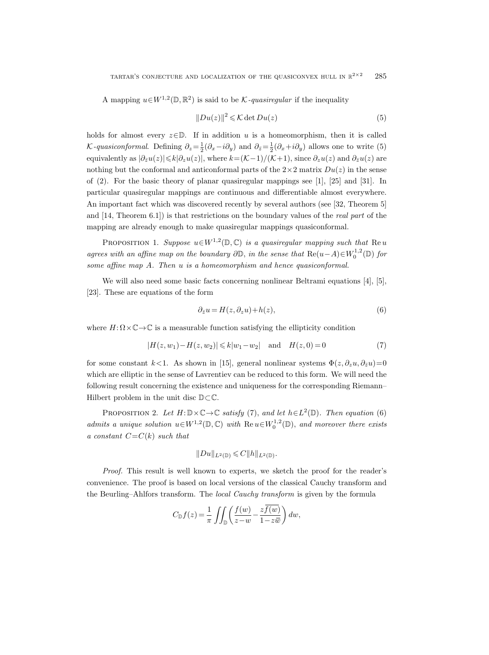A mapping  $u \in W^{1,2}(\mathbb{D}, \mathbb{R}^2)$  is said to be K-quasiregular if the inequality

$$
||Du(z)||^2 \leq \mathcal{K} \det Du(z)
$$
 (5)

holds for almost every  $z \in \mathbb{D}$ . If in addition u is a homeomorphism, then it is called K-quasiconformal. Defining  $\partial_z = \frac{1}{2}(\partial_x - i\partial_y)$  and  $\partial_{\bar{z}} = \frac{1}{2}(\partial_x + i\partial_y)$  allows one to write (5) equivalently as  $|\partial_{\bar{z}}u(z)|\leq k|\partial_{z}u(z)|$ , where  $k=(\mathcal{K}-1)/(\mathcal{K}+1)$ , since  $\partial_{z}u(z)$  and  $\partial_{\bar{z}}u(z)$  are nothing but the conformal and anticonformal parts of the  $2\times 2$  matrix  $Du(z)$  in the sense of (2). For the basic theory of planar quasiregular mappings see [1], [25] and [31]. In particular quasiregular mappings are continuous and differentiable almost everywhere. An important fact which was discovered recently by several authors (see [32, Theorem 5] and  $[14,$  Theorem 6.1) is that restrictions on the boundary values of the *real part* of the mapping are already enough to make quasiregular mappings quasiconformal.

PROPOSITION 1. Suppose  $u \in W^{1,2}(\mathbb{D}, \mathbb{C})$  is a quasiregular mapping such that Reu agrees with an affine map on the boundary  $\partial \mathbb{D}$ , in the sense that  $\text{Re}(u-A) \in W_0^{1,2}(\mathbb{D})$  for some affine map A. Then u is a homeomorphism and hence quasiconformal.

We will also need some basic facts concerning nonlinear Beltrami equations [4], [5], [23]. These are equations of the form

$$
\partial_{\bar{z}}u = H(z, \partial_z u) + h(z),\tag{6}
$$

where  $H: \Omega \times \mathbb{C} \to \mathbb{C}$  is a measurable function satisfying the ellipticity condition

$$
|H(z, w_1) - H(z, w_2)| \le k|w_1 - w_2| \quad \text{and} \quad H(z, 0) = 0 \tag{7}
$$

for some constant k<1. As shown in [15], general nonlinear systems  $\Phi(z, \partial_z u, \partial_{\bar{z}} u)=0$ which are elliptic in the sense of Lavrentiev can be reduced to this form. We will need the following result concerning the existence and uniqueness for the corresponding Riemann– Hilbert problem in the unit disc  $\mathbb{D}\subset\mathbb{C}$ .

PROPOSITION 2. Let  $H: \mathbb{D} \times \mathbb{C} \to \mathbb{C}$  satisfy (7), and let  $h \in L^2(\mathbb{D})$ . Then equation (6) admits a unique solution  $u \in W^{1,2}(\mathbb{D}, \mathbb{C})$  with  $\text{Re } u \in W_0^{1,2}(\mathbb{D})$ , and moreover there exists a constant  $C=C(k)$  such that eness f<br>
and  $l_0$ <br>  $\in W_0^{1,2}$ <br>  $L^2(\mathbb{D})$  we skep f the transf<br>  $z \overline{f(w)}$ and le<br>
∈  $W_0^{1,2}$ <br>  $L^2(\mathbb{D})$  we sket transf<br>
of the  $\frac{z\bar{f}(w)}{1-z\bar{w}}$ 

$$
||Du||_{L^2(\mathbb{D})}\leqslant C||h||_{L^2(\mathbb{D})}.
$$

Proof. This result is well known to experts, we sketch the proof for the reader's convenience. The proof is based on local versions of the classical Cauchy transform and the Beurling–Ahlfors transform. The local Cauchy transform is given by the formula

$$
C_{\mathbb{D}}f(z) = \frac{1}{\pi} \iint_{\mathbb{D}} \left( \frac{f(w)}{z - w} - \frac{z \overline{f(w)}}{1 - z \overline{w}} \right) dw,
$$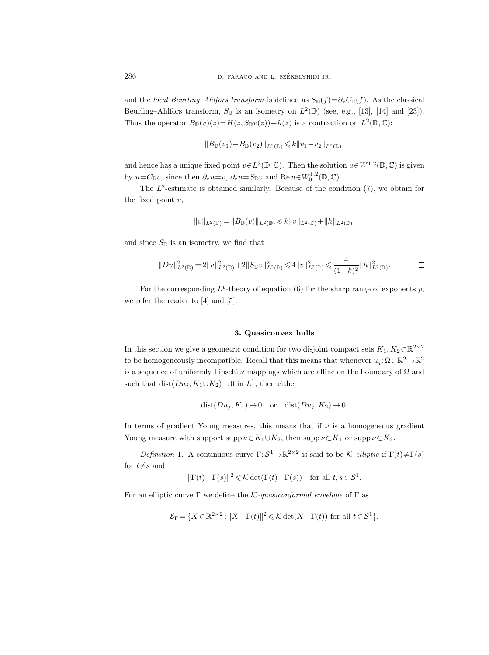and the local Beurling–Ahlfors transform is defined as  $S_{\mathbb{D}}(f)=\partial_z C_{\mathbb{D}}(f)$ . As the classical Beurling–Ahlfors transform,  $S_{\mathbb{D}}$  is an isometry on  $L^2(\mathbb{D})$  (see, e.g., [13], [14] and [23]). Thus the operator  $B_{\mathbb{D}}(v)(z) = H(z, S_{\mathbb{D}}v(z)) + h(z)$  is a contraction on  $L^2(\mathbb{D}, \mathbb{C})$ :

$$
||B_{\mathbb{D}}(v_1) - B_{\mathbb{D}}(v_2)||_{L^2(\mathbb{D})} \leq k ||v_1 - v_2||_{L^2(\mathbb{D})},
$$

and hence has a unique fixed point  $v \in L^2(\mathbb{D}, \mathbb{C})$ . Then the solution  $u \in W^{1,2}(\mathbb{D}, \mathbb{C})$  is given by  $u = C_{\mathbb{D}}v$ , since then  $\partial_{\bar{z}}u = v$ ,  $\partial_z u = S_{\mathbb{D}}v$  and  $\text{Re } u \in W_0^{1,2}(\mathbb{D}, \mathbb{C})$ .

The  $L^2$ -estimate is obtained similarly. Because of the condition  $(7)$ , we obtain for the fixed point  $v$ ,

$$
\|v\|_{L^2(\mathbb{D})}=\|B_{\mathbb{D}}(v)\|_{L^2(\mathbb{D})}\leqslant k\|v\|_{L^2(\mathbb{D})}+\|h\|_{L^2(\mathbb{D})},
$$

and since  $S_{\mathbb{D}}$  is an isometry, we find that

$$
\|Du\|_{L^2(\mathbb{D})}^2=2\|v\|_{L^2(\mathbb{D})}^2+2\|S_{\mathbb{D}}v\|_{L^2(\mathbb{D})}^2\leqslant 4\|v\|_{L^2(\mathbb{D})}^2\leqslant \frac{4}{(1-k)^2}\|h\|_{L^2(\mathbb{D})}^2.\hspace{1.5cm}\square
$$

For the corresponding  $L^p$ -theory of equation (6) for the sharp range of exponents p, we refer the reader to [4] and [5].

#### 3. Quasiconvex hulls

In this section we give a geometric condition for two disjoint compact sets  $K_1, K_2 \subset \mathbb{R}^{2 \times 2}$ to be homogeneously incompatible. Recall that this means that whenever  $u_j \colon \Omega \subset \mathbb{R}^2 \to \mathbb{R}^2$ is a sequence of uniformly Lipschitz mappings which are affine on the boundary of  $\Omega$  and such that  $dist(Du_j, K_1 \cup K_2) \rightarrow 0$  in  $L^1$ , then either

$$
dist(Du_j, K_1) \to 0
$$
 or  $dist(Du_j, K_2) \to 0$ .

In terms of gradient Young measures, this means that if  $\nu$  is a homogeneous gradient Young measure with support supp  $\nu \subset K_1 \cup K_2$ , then supp  $\nu \subset K_1$  or supp  $\nu \subset K_2$ .

Definition 1. A continuous curve  $\Gamma: S^1 \to \mathbb{R}^{2 \times 2}$  is said to be K-elliptic if  $\Gamma(t) \neq \Gamma(s)$ for  $t \neq s$  and

$$
\|\Gamma(t) - \Gamma(s)\|^2 \leq \mathcal{K} \det(\Gamma(t) - \Gamma(s)) \quad \text{for all } t, s \in \mathcal{S}^1.
$$

For an elliptic curve  $\Gamma$  we define the K-quasiconformal envelope of  $\Gamma$  as

$$
\mathcal{E}_{\Gamma} = \{ X \in \mathbb{R}^{2 \times 2} : ||X - \Gamma(t)||^2 \leq \mathcal{K} \det(X - \Gamma(t)) \text{ for all } t \in \mathcal{S}^1 \}.
$$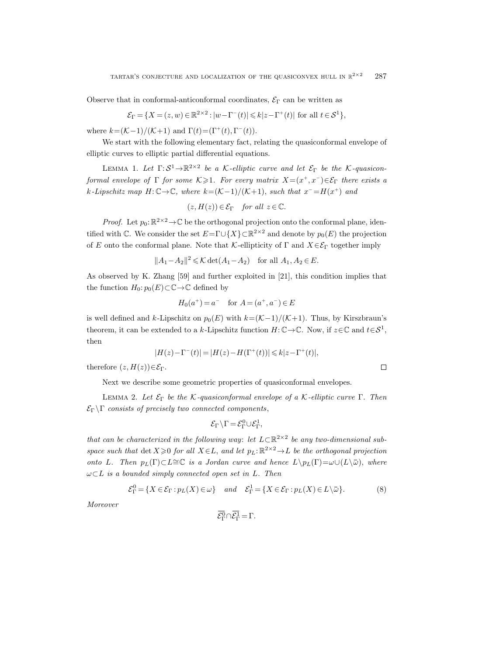Observe that in conformal-anticonformal coordinates,  $\mathcal{E}_{\Gamma}$  can be written as

$$
\mathcal{E}_{\Gamma} = \{ X = (z, w) \in \mathbb{R}^{2 \times 2} : |w - \Gamma^{-}(t)| \leq k |z - \Gamma^{+}(t)| \text{ for all } t \in \mathcal{S}^{1} \},
$$

where  $k = \frac{\mathcal{K}-1}{\mathcal{K}+1}$  and  $\Gamma(t) = (\Gamma^+(t), \Gamma^-(t)).$ 

We start with the following elementary fact, relating the quasiconformal envelope of elliptic curves to elliptic partial differential equations.

LEMMA 1. Let  $\Gamma: \mathcal{S}^1 \to \mathbb{R}^{2 \times 2}$  be a K-elliptic curve and let  $\mathcal{E}_{\Gamma}$  be the K-quasiconformal envelope of  $\Gamma$  for some  $K \geqslant 1$ . For every matrix  $X = (x^+, x^-) \in \mathcal{E}_{\Gamma}$  there exists a k-Lipschitz map  $H: \mathbb{C} \to \mathbb{C}$ , where  $k = (\mathcal{K}-1)/(\mathcal{K}+1)$ , such that  $x^- = H(x^+)$  and

$$
(z, H(z)) \in \mathcal{E}_{\Gamma} \quad \text{for all } z \in \mathbb{C}.
$$

*Proof.* Let  $p_0: \mathbb{R}^{2 \times 2} \to \mathbb{C}$  be the orthogonal projection onto the conformal plane, identified with  $\mathbb C$ . We consider the set  $E = \Gamma \cup \{X\} \subset \mathbb R^{2 \times 2}$  and denote by  $p_0(E)$  the projection of E onto the conformal plane. Note that K-ellipticity of  $\Gamma$  and  $X \in \mathcal{E}_{\Gamma}$  together imply

$$
||A_1 - A_2||^2 \le \mathcal{K} \det(A_1 - A_2)
$$
 for all  $A_1, A_2 \in E$ .

As observed by K. Zhang [59] and further exploited in [21], this condition implies that the function  $H_0: p_0(E) \subset \mathbb{C} \to \mathbb{C}$  defined by

$$
H_0(a^+) = a^-
$$
 for  $A = (a^+, a^-) \in E$ 

is well defined and k-Lipschitz on  $p_0(E)$  with  $k=(\mathcal{K}-1)/(\mathcal{K}+1)$ . Thus, by Kirszbraun's theorem, it can be extended to a k-Lipschitz function  $H: \mathbb{C} \to \mathbb{C}$ . Now, if  $z \in \mathbb{C}$  and  $t \in S^1$ , then

$$
|H(z) - \Gamma^{-}(t)| = |H(z) - H(\Gamma^{+}(t))| \le k|z - \Gamma^{+}(t)|,
$$

therefore  $(z, H(z)) \in \mathcal{E}_{\Gamma}$ .

Next we describe some geometric properties of quasiconformal envelopes.

LEMMA 2. Let  $\mathcal{E}_{\Gamma}$  be the K-quasiconformal envelope of a K-elliptic curve  $\Gamma$ . Then  $\mathcal{E}_{\Gamma} \backslash \Gamma$  consists of precisely two connected components,

$$
\mathcal{E}_{\Gamma} \backslash \Gamma = \mathcal{E}_{\Gamma}^0 \cup \mathcal{E}_{\Gamma}^1,
$$

that can be characterized in the following way: let  $L\subset \mathbb{R}^{2\times 2}$  be any two-dimensional subspace such that  $\det X \geq 0$  for all  $X \in L$ , and let  $p_L: \mathbb{R}^{2 \times 2} \to L$  be the orthogonal projection then<br>  $|H(z) - \Gamma^{-}(t)| = |H(z) - H(\Gamma^{+}(t))| \le k|z - \Gamma^{+}(t)|$ ,<br>
therefore  $(z, H(z)) \in \mathcal{E}_{\Gamma}$ .<br>
Next we describe some geometric properties of quasiconformal envelopes.<br>
LEMMA 2. Let  $\mathcal{E}_{\Gamma}$  be the K-quasiconformal envelope of a K-el  $\omega\subset L$  is a bounded simply connected open set in L. Then *S* of quasiconformal envelopes.<br> *l* envelope of a *K*-elliptic curve Γ. Then<br> *nents*,<br>  $\cup \mathcal{E}_{\Gamma}^1$ ,<br>  $\downarrow$ et  $L \subset \mathbb{R}^{2 \times 2}$  be any two-dimensional sub-<br>  $\nu_L: \mathbb{R}^{2 \times 2} \rightarrow L$  be the orthogonal projection<br> *e*  $\begin{CD} \n \text{co} \cdot \text{ed} \ \text{in} \ \text{in} \ \text{in} \ \text{in} \ \text{in} \ \text{in} \ \text{in} \ \text{in} \ \text{in} \ \text{in} \ \text{in} \ \text{in} \ \text{in} \ \text{in} \ \text{in} \ \text{in} \ \text{in} \ \text{in} \ \text{in} \ \text{in} \ \text{in} \ \text{in} \ \text{in} \ \text{in} \ \text{in} \ \text{in} \ \text{in} \ \text{in} \ \text{in} \ \text{in} \ \text{in} \ \text{in} \ \text{in} \ \$  $on for r$ <br>  $d \text{ com}$ <br>  $\sqrt{\Gamma} = \ell$ <br>  $g \text{ way}$ <br>  $and \text{ } d$ <br>  $d \text{ and } d$ <br>  $\frac{\overline{\mathbf{Q}}}{\mathbf{P}} \cap \overline{\ell_{\Gamma}^{\mathbf{I}}}$ 

$$
\mathcal{E}_{\Gamma}^{0} = \{ X \in \mathcal{E}_{\Gamma} : p_{L}(X) \in \omega \} \quad and \quad \mathcal{E}_{\Gamma}^{1} = \{ X \in \mathcal{E}_{\Gamma} : p_{L}(X) \in L \setminus \bar{\omega} \}. \tag{8}
$$

Moreover

$$
\overline{\mathcal{E}_{\Gamma}^0} \cap \overline{\mathcal{E}_{\Gamma}^1} = \Gamma.
$$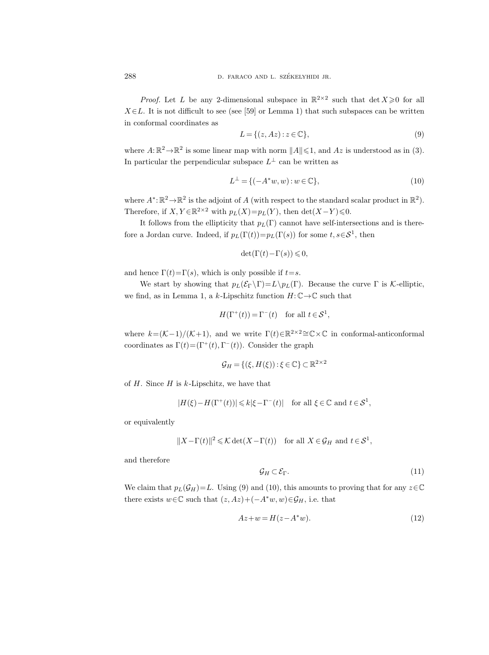*Proof.* Let L be any 2-dimensional subspace in  $\mathbb{R}^{2\times 2}$  such that  $\det X \geq 0$  for all  $X \in L$ . It is not difficult to see (see [59] or Lemma 1) that such subspaces can be written in conformal coordinates as

$$
L = \{(z, Az) : z \in \mathbb{C}\},\tag{9}
$$

where  $A: \mathbb{R}^2 \to \mathbb{R}^2$  is some linear map with norm  $||A|| \leq 1$ , and  $Az$  is understood as in (3). In particular the perpendicular subspace  $L^{\perp}$  can be written as

$$
L^{\perp} = \{ (-A^*w, w) : w \in \mathbb{C} \},\tag{10}
$$

where  $A^* : \mathbb{R}^2 \to \mathbb{R}^2$  is the adjoint of A (with respect to the standard scalar product in  $\mathbb{R}^2$ ). Therefore, if  $X, Y \in \mathbb{R}^{2 \times 2}$  with  $p_L(X) = p_L(Y)$ , then  $\det(X - Y) \leq 0$ .

It follows from the ellipticity that  $p_L(\Gamma)$  cannot have self-intersections and is therefore a Jordan curve. Indeed, if  $p_L(\Gamma(t)) = p_L(\Gamma(s))$  for some  $t, s \in S^1$ , then

$$
\det(\Gamma(t) - \Gamma(s)) \leq 0,
$$

and hence  $\Gamma(t) = \Gamma(s)$ , which is only possible if  $t = s$ .

We start by showing that  $p_L(\mathcal{E}_{\Gamma} \backslash \Gamma) = L \backslash p_L(\Gamma)$ . Because the curve  $\Gamma$  is K-elliptic, we find, as in Lemma 1, a k-Lipschitz function  $H: \mathbb{C} \to \mathbb{C}$  such that

$$
H(\Gamma^+(t)) = \Gamma^-(t) \quad \text{for all } t \in \mathcal{S}^1,
$$

where  $k = (\mathcal{K}-1)/(\mathcal{K}+1)$ , and we write  $\Gamma(t) \in \mathbb{R}^{2 \times 2} \cong \mathbb{C} \times \mathbb{C}$  in conformal-anticonformal coordinates as  $\Gamma(t) = (\Gamma^+(t), \Gamma^-(t))$ . Consider the graph

$$
\mathcal{G}_H = \{ (\xi, H(\xi)) : \xi \in \mathbb{C} \} \subset \mathbb{R}^{2 \times 2}
$$

of  $H$ . Since  $H$  is  $k$ -Lipschitz, we have that

$$
|H(\xi) - H(\Gamma^+(t))| \le k|\xi - \Gamma^-(t)| \quad \text{for all } \xi \in \mathbb{C} \text{ and } t \in \mathcal{S}^1,
$$

or equivalently

$$
||X - \Gamma(t)||^2 \leq \mathcal{K} \det(X - \Gamma(t)) \quad \text{for all } X \in \mathcal{G}_H \text{ and } t \in \mathcal{S}^1,
$$

and therefore

$$
\mathcal{G}_H \subset \mathcal{E}_\Gamma. \tag{11}
$$

We claim that  $p_L(\mathcal{G}_H)=L$ . Using (9) and (10), this amounts to proving that for any  $z\in\mathbb{C}$ there exists  $w \in \mathbb{C}$  such that  $(z, Az) + (-A^*w, w) \in \mathcal{G}_H$ , i.e. that

$$
Az + w = H(z - A^*w). \tag{12}
$$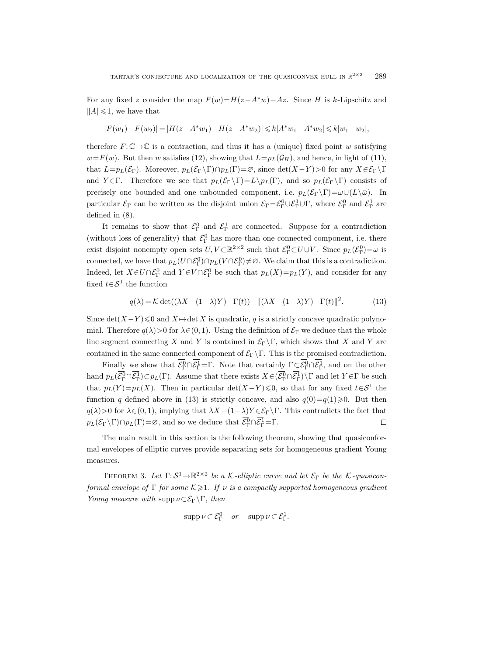For any fixed z consider the map  $F(w)=H(z-A^*w)-Az$ . Since H is k-Lipschitz and  $||A|| \leq 1$ , we have that

$$
|F(w_1)-F(w_2)|=|H(z-A^*w_1)-H(z-A^*w_2)|\leqslant k|A^*w_1-A^*w_2|\leqslant k|w_1-w_2|,
$$

therefore  $F: \mathbb{C} \to \mathbb{C}$  is a contraction, and thus it has a (unique) fixed point w satisfying  $w=F(w)$ . But then w satisfies (12), showing that  $L=p<sub>L</sub>(\mathcal{G}<sub>H</sub>)$ , and hence, in light of (11), that  $L=p_L(\mathcal{E}_{\Gamma})$ . Moreover,  $p_L(\mathcal{E}_{\Gamma} \backslash \Gamma) \cap p_L(\Gamma) = \emptyset$ , since  $\det(X-Y) > 0$  for any  $X \in \mathcal{E}_{\Gamma} \backslash \Gamma$ and  $Y \in \Gamma$ . Therefore we see that  $p_L(\mathcal{E}_{\Gamma} \backslash \Gamma) = L \backslash p_L(\Gamma)$ , and so  $p_L(\mathcal{E}_{\Gamma} \backslash \Gamma)$  consists of TARTAR'S CONJECTURE AND LOCALIZATION OF THE QUASICONVEX HULL IN  $\mathbb{R}^{2\times 2}$  289<br>
For any fixed z consider the map  $F(w) = H(z - A^*w) - Az$ . Since H is k-Lipschitz and<br>  $||A|| \le 1$ , we have that<br>  $|F(w_1) - F(w_2)| = |H(z - A^*w_1) - H(z - A^*$ particular  $\mathcal{E}_{\Gamma}$  can be written as the disjoint union  $\mathcal{E}_{\Gamma} = \mathcal{E}_{\Gamma}^0 \cup \mathcal{E}_{\Gamma}^1 \cup \Gamma$ , where  $\mathcal{E}_{\Gamma}^0$  and  $\mathcal{E}_{\Gamma}^1$  are defined in (8).

It remains to show that  $\mathcal{E}_{\Gamma}^0$  and  $\mathcal{E}_{\Gamma}^1$  are connected. Suppose for a contradiction (without loss of generality) that  $\mathcal{E}_{\Gamma}^{0}$  has more than one connected component, i.e. there exist disjoint nonempty open sets  $U, V \subset \mathbb{R}^{2 \times 2}$  such that  $\mathcal{E}_{\Gamma}^0 \subset U \cup V$ . Since  $p_L(\mathcal{E}_{\Gamma}^0) = \omega$  is connected, we have that  $p_L(U \cap \mathcal{E}_{\Gamma}^0) \cap p_L(V \cap \mathcal{E}_{\Gamma}^0) \neq \emptyset$ . We claim that this is a contradiction. Indeed, let  $X \in U \cap \mathcal{E}_{\Gamma}^0$  and  $Y \in V \cap \mathcal{E}_{\Gamma}^0$  be such that  $p_L(X) = p_L(Y)$ , and consider for any fixed  $t \in S^1$  the function nout loss of generality) to disjoint nonempty open<br>ected, we have that  $p_L(U$ <br>ed, let  $X \in U \cap \mathcal{E}_{\Gamma}^0$  and  $Y$ <br> $t \in \mathcal{S}^1$  the function<br> $q(\lambda) = \mathcal{K} \det((\lambda X \neq \det(X - Y) \leq 0 \text{ and } X \mapsto \text{.}$  Therefore  $q(\lambda) > 0$  for  $\lambda$ <br>segm  $\begin{aligned} \text{that } \alpha \text{ is } \text{dist} \,, \ \text{in sets } & \text{dist} \in \mathcal{V} \cap \mathcal{E}_{\Gamma}^0 \ & \text{if } X + (1) \rightarrow \text{det} \, \text{dist} \in (0,1) \ & \text{if } X \in \mathcal{V} \text{dist} \in \mathcal{E}_{\Gamma}^1 \cap \overline{\mathcal{E}_{\Gamma}^1} \end{aligned}$  $\mathcal{E}_{\Gamma}$  has more than one connected<br>ts  $U, V \subset \mathbb{R}^{2 \times 2}$  such that  $\mathcal{E}_{\Gamma}^{0} \subset U \cup$ <br> $\Gamma_{\Gamma}^{0} \cap p_{L}(V \cap \mathcal{E}_{\Gamma}^{0}) \neq \varnothing$ . We claim tha<br> $\cap \mathcal{E}_{\Gamma}^{0}$  be such that  $p_{L}(X) = p_{L}(Y)$ <br> $(1 - \lambda)Y) - \Gamma(t)$ ) –  $\|(\lambda X +$ ed conditions that this  $Y$ ), are  $Y$ )  $-1$ <br>oncave decomposes the proof  $\frac{1}{\Gamma} \cap \overline{\mathcal{E}_\Gamma^1}$ 

$$
q(\lambda) = \mathcal{K} \det((\lambda X + (1 - \lambda)Y) - \Gamma(t)) - ||(\lambda X + (1 - \lambda)Y) - \Gamma(t)||^2.
$$
 (13)

Since  $\det(X-Y) \leq 0$  and  $X \mapsto \det X$  is quadratic, q is a strictly concave quadratic polynomial. Therefore  $q(\lambda) > 0$  for  $\lambda \in (0, 1)$ . Using the definition of  $\mathcal{E}_{\Gamma}$  we deduce that the whole line segment connecting X and Y is contained in  $\mathcal{E}_{\Gamma} \backslash \Gamma$ , which shows that X and Y are contained in the same connected component of  $\mathcal{E}_{\Gamma} \backslash \Gamma$ . This is the promised contradiction. exist disjon<br>connected,  $\mathbf{h}$ ;<br>Indeed, let<br>fixed  $t \in \mathcal{S}^1$ <br>Since det(X<br>mial. There<br>line segmen<br>contained in Finally<br>hand  $p_L(\overline{\mathcal{E}_\Gamma^0})$ For  $X \in \mathcal{X}$ <br>the  $X \in \mathcal{A}$ <br> $\{X-Y\}$ <br> $\{X-Y\}$ <br> $\{X-Y\}$ <br> $\{X-Y\}$ <br> $\{Y\}$ <br> $\{Y\}$ <br> $\{Y\}$ between that  $p_L(U \cap \mathcal{E}_{\Gamma}^0) \cap p_L(V \cap \mathcal{E}_{\Gamma}^0) \neq \emptyset$ . We cla<br>  $U \cap \mathcal{E}_{\Gamma}^0$  and  $Y \in V \cap \mathcal{E}_{\Gamma}^0$  be such that  $p_L(X) =$ <br>
function<br>  $E = \mathcal{K} \det((\lambda X + (1 - \lambda)Y) - \Gamma(t)) - ||(\lambda X + (\lambda))||$ <br>  $\leq 0$  and  $X \mapsto \det X$  is quadratic, q i  $\varepsilon_{\Gamma} \in \mathcal{C}$ <br>aim t<br>=  $p_L$ <br>(1 -  $\lambda$ <br>ictly c<br>of  $\varepsilon_{\Gamma}$ <br>which<br>s is th<br>y  $\Gamma \subset \mathcal{C}$ <br> $\overline{\mathcal{C}}$   $\Gamma \subset \overline{\mathcal{C}}$ 

 $q(\lambda) = \mathcal{K} \det((\lambda X + (1 - \lambda)Y) - \Gamma(t))$ <br>Since  $\det(X - Y) \le 0$  and  $X \mapsto \det X$  is quadratic,<br>mial. Therefore  $q(\lambda) > 0$  for  $\lambda \in (0, 1)$ . Using the c<br>line segment connecting X and Y is contained i<br>contained in the same connected compo (c, *q* is<br>
c, *q* is<br>
defin<br>
in  $\mathcal{E}_{\Gamma} \setminus \Gamma$ <br>
at cen<br>
dists  $\Gamma$ <br>
for  $\Gamma$ <br>
for  $\Gamma$ <br>  $\Gamma$ <br>  $\Gamma$ <br>  $\Gamma$  $\Gamma$ <sup>1</sup>, and on the other  $T(\Gamma) \subset p_L(\Gamma)$ . Assume that there exists  $X \in (\mathcal{E}_{\Gamma}^0 \cap \mathcal{E}_{\Gamma}^1) \setminus \Gamma$  and let  $Y \in \Gamma$  be such that  $p_L(Y)=p_L(X)$ . Then in particular det(X-Y) ≤0, so that for any fixed  $t\in S^1$  the function q defined above in (13) is strictly concave, and also  $q(0)=q(1)\geq 0$ . But then  $q(\lambda) > 0$  for  $\lambda \in (0, 1)$ , implying that  $\lambda X + (1-\lambda)Y \in \mathcal{E}_{\Gamma} \backslash \Gamma$ . This contradicts the fact that  $p_L(\mathcal{E}_{\Gamma}\backslash\Gamma)\cap p_L(\Gamma)=\varnothing$ , and so we deduce that  $\overline{\mathcal{E}_{\Gamma}^0}\cap\overline{\mathcal{E}_{\Gamma}^1}=\Gamma$ .  $\Box$ 

The main result in this section is the following theorem, showing that quasiconformal envelopes of elliptic curves provide separating sets for homogeneous gradient Young measures.

THEOREM 3. Let  $\Gamma: \mathcal{S}^1 \to \mathbb{R}^{2 \times 2}$  be a K-elliptic curve and let  $\mathcal{E}_{\Gamma}$  be the K-quasiconformal envelope of  $\Gamma$  for some  $K \geq 1$ . If  $\nu$  is a compactly supported homogeneous gradient Young measure with supp  $\nu \subset \mathcal{E}_{\Gamma} \backslash \Gamma$ , then

$$
\operatorname{supp}\nu\subset\mathcal{E}_{\Gamma}^{0}\quad or\quad\operatorname{supp}\nu\subset\mathcal{E}_{\Gamma}^{1}.
$$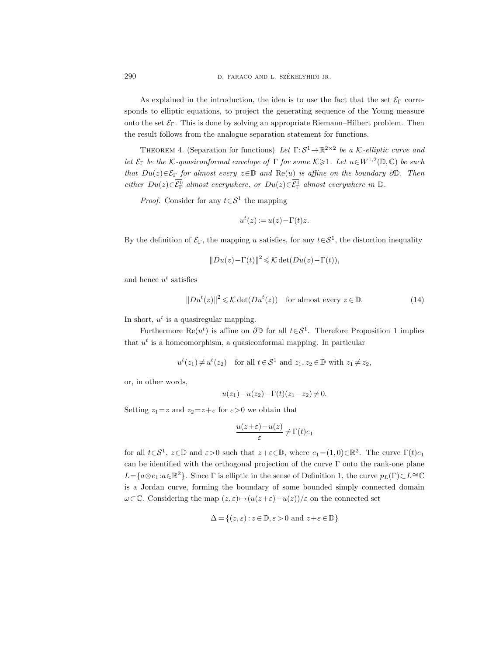290 D. FARACO AND L. SZÉKELYHIDI JR.

As explained in the introduction, the idea is to use the fact that the set  $\mathcal{E}_{\Gamma}$  corresponds to elliptic equations, to project the generating sequence of the Young measure onto the set  $\mathcal{E}_{\Gamma}$ . This is done by solving an appropriate Riemann–Hilbert problem. Then the result follows from the analogue separation statement for functions.

THEOREM 4. (Separation for functions) Let  $\Gamma: \mathcal{S}^1 \to \mathbb{R}^{2 \times 2}$  be a K-elliptic curve and let  $\mathcal{E}_{\Gamma}$  be the K-quasiconformal envelope of  $\Gamma$  for some  $K \geq 1$ . Let  $u \in W^{1,2}(\mathbb{D}, \mathbb{C})$  be such that  $Du(z) \in \mathcal{E}_{\Gamma}$  for almost every  $z \in \mathbb{D}$  and  $\text{Re}(u)$  is affine on the boundary  $\partial \mathbb{D}$ . Then 290<br>
As explained<br>
sponds to elliptic<br>
onto the set  $\mathcal{E}_{\Gamma}$ .<br>
the result follows<br>
THEOREM 4<br>
let  $\mathcal{E}_{\Gamma}$  be the  $\mathcal{K}$ -q<br>
that  $Du(z) \in \overline{\mathcal{E}_{\Gamma}^{D}}$ <br>
either  $Du(z) \in \overline{\mathcal{E}_{\Gamma}^{D}}$  $\overline{C}_{\Gamma}$  almost everywhere, or  $Du(z) \in \overline{\mathcal{E}_{\Gamma}^1}$  almost everywhere in  $\mathbb{D}$ . D. FARACO AND L. SZÉKE<br>in the introduction, the idea is t<br>equations, to project the general<br>his is done by solving an appropri<br>from the analogue separation stat<br>(Separation for functions) Let  $\Gamma$ :<br>asiconformal envelope o

*Proof.* Consider for any  $t \in S^1$  the mapping

$$
u^{t}(z) := u(z) - \Gamma(t)z.
$$

By the definition of  $\mathcal{E}_{\Gamma}$ , the mapping u satisfies, for any  $t \in \mathcal{S}^1$ , the distortion inequality

$$
||Du(z)-\Gamma(t)||^2 \leq \mathcal{K} \det(Du(z)-\Gamma(t)),
$$

and hence  $u^t$  satisfies

$$
||Du^{t}(z)||^{2} \leq \mathcal{K} \det(Du^{t}(z)) \quad \text{for almost every } z \in \mathbb{D}.
$$
 (14)

In short,  $u^t$  is a quasiregular mapping.

Furthermore Re $(u^t)$  is affine on  $\partial \mathbb{D}$  for all  $t \in S^1$ . Therefore Proposition 1 implies that  $u^t$  is a homeomorphism, a quasiconformal mapping. In particular

$$
u^t(z_1) \neq u^t(z_2)
$$
 for all  $t \in S^1$  and  $z_1, z_2 \in \mathbb{D}$  with  $z_1 \neq z_2$ ,

or, in other words,

$$
u(z_1) - u(z_2) - \Gamma(t)(z_1 - z_2) \neq 0.
$$

Setting  $z_1=z$  and  $z_2=z+\varepsilon$  for  $\varepsilon>0$  we obtain that

$$
\frac{u(z+\varepsilon)-u(z)}{\varepsilon}\neq \Gamma(t)e_1
$$

for all  $t \in S^1$ ,  $z \in \mathbb{D}$  and  $\varepsilon > 0$  such that  $z + \varepsilon \in \mathbb{D}$ , where  $e_1 = (1, 0) \in \mathbb{R}^2$ . The curve  $\Gamma(t)e_1$ can be identified with the orthogonal projection of the curve Γ onto the rank-one plane  $L = \{a \otimes e_1 : a \in \mathbb{R}^2\}$ . Since  $\Gamma$  is elliptic in the sense of Definition 1, the curve  $p_L(\Gamma) \subset L \cong \mathbb{C}$ is a Jordan curve, forming the boundary of some bounded simply connected domain  $\omega$ ⊂C. Considering the map  $(z, \varepsilon) \mapsto (u(z+\varepsilon)-u(z))/\varepsilon$  on the connected set

$$
\Delta = \{(z, \varepsilon) : z \in \mathbb{D}, \varepsilon > 0 \text{ and } z + \varepsilon \in \mathbb{D}\}\
$$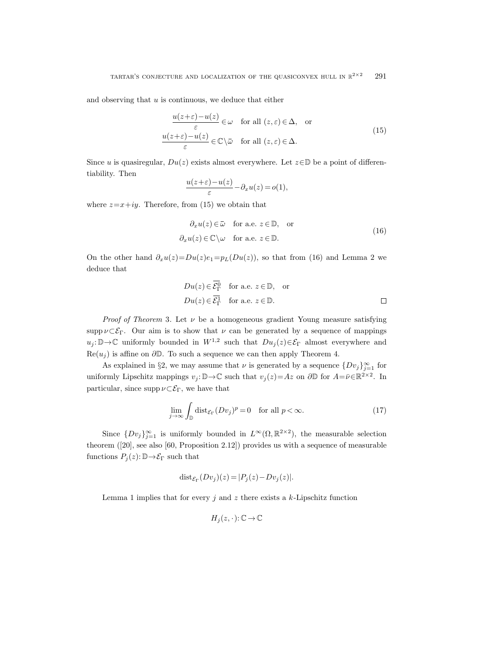and observing that  $u$  is continuous, we deduce that either

SETURE AND LOCALIZATION OF THE QUASCONVEX HULL IN 
$$
\mathbb{R}^{2\times2}
$$
 291

\nis continuous, we deduce that either

\n
$$
\frac{u(z+\varepsilon)-u(z)}{\varepsilon} \in \omega \quad \text{for all } (z,\varepsilon) \in \Delta, \quad \text{or}
$$
\n
$$
\frac{u(z+\varepsilon)-u(z)}{\varepsilon} \in \mathbb{C} \setminus \bar{\omega} \quad \text{for all } (z,\varepsilon) \in \Delta.
$$
\nr,  $Du(z)$  exists almost everywhere. Let  $z \in \mathbb{D}$  be a point of different

\n
$$
\frac{u(z+\varepsilon)-u(z)}{\varepsilon} - \partial_x u(z) = o(1),
$$
\nbefore, from (15) we obtain that

\n
$$
\partial_x u(z) \in \bar{\omega} \quad \text{for a.e. } z \in \mathbb{D}, \quad \text{or}
$$
\n(13)

Since u is quasiregular,  $Du(z)$  exists almost everywhere. Let  $z \in \mathbb{D}$  be a point of differentiability. Then

$$
\frac{u(z+\varepsilon)-u(z)}{\varepsilon}-\partial_x u(z)=o(1),
$$

where  $z=x+iy$ . Therefore, from (15) we obtain that

\n- (z) exists almost everywhere. Let 
$$
z \in \mathbb{D}
$$
 be a point of different  $\frac{u(z+\varepsilon)-u(z)}{\varepsilon} - \partial_x u(z) = o(1),$  from (15) we obtain that  $\partial_x u(z) \in \bar{\omega}$  for a.e.  $z \in \mathbb{D}$ , or  $\partial_x u(z) \in \mathbb{C} \setminus \omega$  for a.e.  $z \in \mathbb{D}$ .
\n- $=Du(z)e_1 = p_L(Du(z)),$  so that from (16) and Lemma 2 we  $Du(z) \in \overline{\mathcal{E}_{\Gamma}^0}$  for a.e.  $z \in \mathbb{D}$ , or
\n

On the other hand  $\partial_x u(z) = Du(z)e_1 = p_L(Du(z))$ , so that from (16) and Lemma 2 we deduce that

$$
\frac{u(z+\varepsilon)-u(z)}{\varepsilon} - \partial_x u(z) = o(1),
$$
  
from (15) we obtain that  

$$
\partial_x u(z) \in \bar{\omega} \text{ for a.e. } z \in \mathbb{D}, \text{ or}
$$

$$
u(x) \in \mathbb{C} \setminus \omega \text{ for a.e. } z \in \mathbb{D}.
$$

$$
v \cdot Du(z)e_1 = p_L(Du(z)), \text{ so that from (16) and Lemma 2 we}
$$

$$
Du(z) \in \overline{\mathcal{E}}_1^0 \text{ for a.e. } z \in \mathbb{D}, \text{ or}
$$

$$
Du(z) \in \overline{\mathcal{E}}_1^1 \text{ for a.e. } z \in \mathbb{D}.
$$

*Proof of Theorem 3.* Let  $\nu$  be a homogeneous gradient Young measure satisfying supp  $\nu \subset \mathcal{E}_{\Gamma}$ . Our aim is to show that  $\nu$  can be generated by a sequence of mappings  $u_j: \mathbb{D} \to \mathbb{C}$  uniformly bounded in  $W^{1,2}$  such that  $Du_j(z) \in \mathcal{E}_{\Gamma}$  almost everywhere and  $\text{Re}(u_j)$  is affine on  $\partial \mathbb{D}$ . To such a sequence we can then apply Theorem 4.

As explained in §2, we may assume that  $\nu$  is generated by a sequence  $\{Dv_j\}_{j=1}^{\infty}$  for uniformly Lipschitz mappings  $v_j: \mathbb{D} \to \mathbb{C}$  such that  $v_j(z) = Az$  on  $\partial \mathbb{D}$  for  $A = \bar{\nu} \in \mathbb{R}^{2 \times 2}$ . In particular, since supp  $\nu \subset \mathcal{E}_{\Gamma}$ , we have that

$$
\lim_{j \to \infty} \int_{\mathbb{D}} \text{dist}_{\mathcal{E}_{\Gamma}}(Dv_j)^p = 0 \quad \text{for all } p < \infty.
$$
 (17)

Since  $\{Dv_j\}_{j=1}^{\infty}$  is uniformly bounded in  $L^{\infty}(\Omega,\mathbb{R}^{2\times2})$ , the measurable selection theorem ([20], see also [60, Proposition 2.12]) provides us with a sequence of measurable functions  $P_j(z): \mathbb{D} \to \mathcal{E}_{\Gamma}$  such that

$$
dist_{\mathcal{E}_{\Gamma}}(Dv_j)(z) = |P_j(z) - Dv_j(z)|.
$$

Lemma 1 implies that for every  $j$  and  $z$  there exists a  $k$ -Lipschitz function

$$
H_j\big(z,\cdot\big)\hbox{:}\,{\mathbb C} \,{\to}\, {\mathbb C}
$$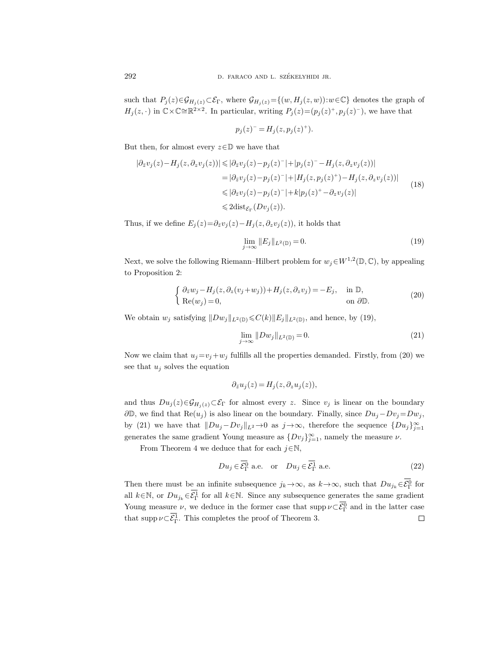such that  $P_j(z) \in \mathcal{G}_{H_j(z)} \subset \mathcal{E}_{\Gamma}$ , where  $\mathcal{G}_{H_j(z)} = \{(w, H_j(z, w)) : w \in \mathbb{C}\}\$  denotes the graph of  $H_j(z, \cdot)$  in  $\mathbb{C}\times\mathbb{C}\cong\mathbb{R}^{2\times 2}$ . In particular, writing  $P_j(z)=(p_j(z)^+, p_j(z)^-)$ , we have that

$$
p_j(z)^{-} = H_j(z, p_j(z)^+).
$$

But then, for almost every  $z \in \mathbb{D}$  we have that

$$
\begin{aligned} |\partial_{\bar{z}}v_j(z) - H_j(z, \partial_z v_j(z))| &\leq |\partial_{\bar{z}}v_j(z) - p_j(z)^{-}| + |p_j(z)^{-} - H_j(z, \partial_z v_j(z))| \\ &= |\partial_{\bar{z}}v_j(z) - p_j(z)^{-}| + |H_j(z, p_j(z)^{+}) - H_j(z, \partial_z v_j(z))| \\ &\leq |\partial_{\bar{z}}v_j(z) - p_j(z)^{-}| + k|p_j(z)^{+} - \partial_z v_j(z)| \\ &\leq 2 \text{dist}_{\mathcal{E}_{\Gamma}}(Dv_j(z)). \end{aligned} \tag{18}
$$

Thus, if we define  $E_i(z)=\partial_{\bar{z}}v_i(z)-H_i(z,\partial_zv_i(z))$ , it holds that

$$
\lim_{j \to \infty} ||E_j||_{L^2(\mathbb{D})} = 0. \tag{19}
$$

Next, we solve the following Riemann–Hilbert problem for  $w_j \in W^{1,2}(\mathbb{D}, \mathbb{C})$ , by appealing to Proposition 2:

$$
\begin{cases} \partial_{\bar{z}} w_j - H_j(z, \partial_z(v_j + w_j)) + H_j(z, \partial_z v_j) = -E_j, & \text{in } \mathbb{D}, \\ \text{Re}(w_j) = 0, & \text{on } \partial \mathbb{D}. \end{cases}
$$
\n(20)

We obtain  $w_j$  satisfying  $||Dw_j||_{L^2(\mathbb{D})} \leq C(k) ||E_j||_{L^2(\mathbb{D})}$ , and hence, by (19),

$$
\lim_{j \to \infty} ||Dw_j||_{L^2(\mathbb{D})} = 0. \tag{21}
$$

Now we claim that  $u_j = v_j + w_j$  fulfills all the properties demanded. Firstly, from (20) we see that  $u_i$  solves the equation

$$
\partial_{\bar{z}}u_j(z) = H_j(z, \partial_z u_j(z)),
$$

and thus  $Du_j(z)\in\mathcal{G}_{H_j(z)}\subset\mathcal{E}_{\Gamma}$  for almost every z. Since  $v_j$  is linear on the boundary  $\partial\mathbb{D}$ , we find that Re $(u_j)$  is also linear on the boundary. Finally, since  $Du_j - Dv_j = Dw_j$ , by (21) we have that  $||Du_j-Dv_j||_{L^2}\to 0$  as  $j\to\infty$ , therefore the sequence  $\{Du_j\}_{j=1}^{\infty}$ generates the same gradient Young measure as  $\{D_{v_j}\}_{j=1}^{\infty}$ , namely the measure  $\nu$ .  $j \rightarrow w_j$  fulfill<br>  $\partial_{\bar{z}} u_j$ <br>  $\mathcal{E}_{\Gamma}$  for al<br>
also linea<br>  $\iota_j - D v_j ||_1$ <br>
t Young i<br>
duce tha<br>  $D u_j \in \overline{\mathcal{E}_{\Gamma}^0}$ all the properties  $(z) = H_j(z, \partial_z u_j(z))$ .<br>
and the properties  $(z) = H_j(z, \partial_z u_j(z))$ .<br>
con the boundary.<br>
con the boundary.<br>
con the boundary.<br>
con the boundary.<br>
con the boundary.<br>
con the boundary.<br>
for each  $j \in \overline{N}$ .<br>
a.e. or See that  $u_j$  solves the equation<br>  $\partial_{\bar{z}}u_j(z) = H_j(z, \partial_z u_j(z)),$ <br>
and thus  $Du_j(z) \in \mathcal{G}_{H_j(z)} \subset \mathcal{E}_{\Gamma}$  for almost every z. Since  $v_j$  is linear on the bound<br>  $\partial \mathbb{D}$ , we find that  $\text{Re}(u_j)$  is also linear on the bounda and thus  $Du_j(z) \in \mathcal{G}_H$ <br>and thus  $Du_j(z) \in \mathcal{G}_H$ <br> $\partial \mathbb{D}$ , we find that Re( $\alpha$ <br>by (21) we have that<br>generates the same gr<br>From Theorem 4<br>Then there must be  $\alpha$ <br>all  $k \in \mathbb{N}$ , or  $Du_{jk} \in \overline{\mathcal{E}_\Gamma^1}$  $\partial_{\bar{z}}u_j(z) = H_j(z, \partial_z u_j(z)),$ <br>and thus  $Du_j(z) \in \mathcal{G}_{H_j(z)} \subset \mathcal{E}_{\Gamma}$  for almost every z. Since  $v_j$  is li<br> $\partial \mathbb{D}$ , we find that  $\text{Re}(u_j)$  is also linear on the boundary. Finally, s<br>by (21) we have that  $||Du_j - Dv_j||_{L^2} \to 0$ and thus  $Du_j(2)$ <br>  $\partial \mathbb{D}$ , we find tha<br>
by (21) we hav<br>
generates the sa<br>
From Theo<br>
From Theo<br>
Then there mus<br>
all  $k \in \mathbb{N}$ , or  $Du$ <br>
Young measure<br>
that supp  $\nu \subset \overline{\mathcal{E}}_1^{\Gamma}$ 

From Theorem 4 we deduce that for each  $j \in \mathbb{N}$ ,

$$
Du_j \in \overline{\mathcal{E}_{\Gamma}^0} \text{ a.e. or } Du_j \in \overline{\mathcal{E}_{\Gamma}^1} \text{ a.e. } (22)
$$

 $^0_\Gamma$  for  $\overline{F}$  for all  $k \in \mathbb{N}$ . Since any subsequence generates the same gradient  $\Gamma_{\Gamma}^{0}$  and in the latter case  $\Box$  $\Gamma^1$ . This completes the proof of Theorem 3.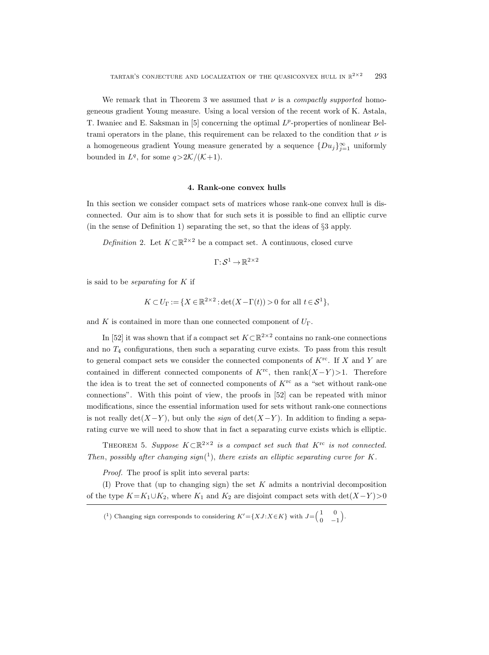We remark that in Theorem 3 we assumed that  $\nu$  is a *compactly supported* homogeneous gradient Young measure. Using a local version of the recent work of K. Astala, T. Iwaniec and E. Saksman in [5] concerning the optimal  $L^p$ -properties of nonlinear Beltrami operators in the plane, this requirement can be relaxed to the condition that  $\nu$  is a homogeneous gradient Young measure generated by a sequence  $\{Du_j\}_{j=1}^{\infty}$  uniformly bounded in  $L^q$ , for some  $q > 2\mathcal{K}/(\mathcal{K}+1)$ .

#### 4. Rank-one convex hulls

In this section we consider compact sets of matrices whose rank-one convex hull is disconnected. Our aim is to show that for such sets it is possible to find an elliptic curve (in the sense of Definition 1) separating the set, so that the ideas of §3 apply.

Definition 2. Let  $K \subset \mathbb{R}^{2 \times 2}$  be a compact set. A continuous, closed curve

$$
\Gamma: \mathcal{S}^1 \to \mathbb{R}^{2 \times 2}
$$

is said to be *separating* for  $K$  if

$$
K \subset U_{\Gamma} := \{ X \in \mathbb{R}^{2 \times 2} : \det(X - \Gamma(t)) > 0 \text{ for all } t \in \mathcal{S}^1 \},
$$

and K is contained in more than one connected component of  $U_{\Gamma}$ .

In [52] it was shown that if a compact set  $K \subset \mathbb{R}^{2 \times 2}$  contains no rank-one connections and no  $T_4$  configurations, then such a separating curve exists. To pass from this result to general compact sets we consider the connected components of  $K^{\text{rc}}$ . If X and Y are contained in different connected components of  $K^{rc}$ , then rank $(X-Y) > 1$ . Therefore the idea is to treat the set of connected components of  $K<sup>rc</sup>$  as a "set without rank-one connections". With this point of view, the proofs in [52] can be repeated with minor modifications, since the essential information used for sets without rank-one connections is not really det( $X-Y$ ), but only the *sign* of det( $X-Y$ ). In addition to finding a separating curve we will need to show that in fact a separating curve exists which is elliptic.

THEOREM 5. Suppose  $K \subset \mathbb{R}^{2 \times 2}$  is a compact set such that  $K^{\text{rc}}$  is not connected. Then, possibly after changing sign( $^{1}$ ), there exists an elliptic separating curve for K.

Proof. The proof is split into several parts:

(I) Prove that (up to changing sign) the set  $K$  admits a nontrivial decomposition of the type  $K=K_1\cup K_2$ , where  $K_1$  and  $K_2$  are disjoint compact sets with det $(X-Y) > 0$ 

<sup>&</sup>lt;sup>(1</sup>) Changing sign corresponds to considering  $K' = \{XJ : X \in K\}$  with  $J = \begin{pmatrix} 1 & 0 \\ 0 & 1 \end{pmatrix}$  $\begin{pmatrix} 1 & 0 \\ 0 & -1 \end{pmatrix}$ .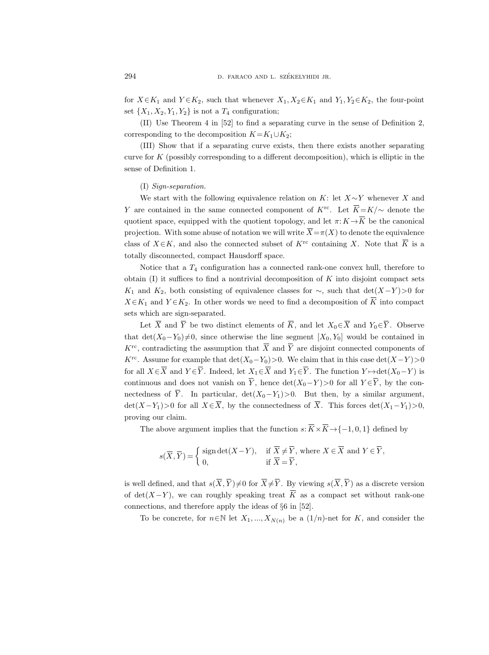for  $X \in K_1$  and  $Y \in K_2$ , such that whenever  $X_1, X_2 \in K_1$  and  $Y_1, Y_2 \in K_2$ , the four-point set  $\{X_1, X_2, Y_1, Y_2\}$  is not a  $T_4$  configuration;

(II) Use Theorem 4 in [52] to find a separating curve in the sense of Definition 2, corresponding to the decomposition  $K=K_1\cup K_2$ ;

(III) Show that if a separating curve exists, then there exists another separating curve for  $K$  (possibly corresponding to a different decomposition), which is elliptic in the sense of Definition 1. for  $X \in K_1$  and  $Y \in K_2$ , such that whenever  $X_1, X_2 \in K_1$  and  $Y_1, Y_2 \in K_2$ , the four-point<br>set  $\{X_1, X_2, Y_1, Y_2\}$  is not a  $T_4$  configuration;<br>(II) Use Theorem 4 in [52] to find a separating curve in the sense o

#### (I) Sign-separation.

We start with the following equivalence relation on K: let  $X \sim Y$  whenever X and for  $X \in K_1$  and  $Y \in K_2$ , such that whenever  $X_1, X_2 \in K_1$  and  $Y_1, Y_2 \in K_2$ , the four-point<br>set  $\{X_1, X_2, Y_1, Y_2\}$  is not a  $T_4$  configuration;<br>(II) Use Theorem 4 in [52] to find a separating curve in the sense of set  $\{X_1, X_2, Y_1, Y_2\}$  is not a  $T_4$  configuration;<br>
(II) Use Theorem 4 in [52] to find a separating curve in the sense of Definition 2,<br>
corresponding to the decomposition  $K = K_1 \cup K_2$ ;<br>
(III) Show that if a separati (II) Use Theorem 4 in [52] to find a separating curve in the sense of Definition 2,<br>corresponding to the decomposition  $K = K_1 \cup K_2$ ;<br>(III) Show that if a separating curve exists, then there exists another separating<br>curve totally disconnected, compact Hausdorff space. (I) Sign-separation.<br>
We start with the following equivalence relation on K: let  $X \sim Y$  whenever X and<br>
Y are contained in the same connected component of  $K^{rc}$ . Let  $\overline{K} = K/\sim$  denote the<br>
quotient space, equipped with We start with<br>re contained i<br>ient space, eq<br>ection. With s<br>of  $X \in K$ , an<br>ly disconnecte<br>Notice that a<br>in (I) it suffic<br>and  $K_2$ , both<br> $K_1$  and  $Y \in K_2$ <br>which are sign<br>Let  $\overline{X}$  and  $\overline{Y}$ be the same connected component of  $K^{\text{re}}$ . Let  $\overline{K} = K/\sim$  duipped with the quotient topology, and let  $\pi: K \to \overline{K}$  be the ome abuse of notation we will write  $\overline{X} = \pi(X)$  to denote the e d also the connected subse

Notice that a  $T_4$  configuration has a connected rank-one convex hull, therefore to obtain  $(I)$  it suffices to find a nontrivial decomposition of K into disjoint compact sets K<sub>1</sub> and K<sub>2</sub>, both consisting of equivalence classes for  $\sim$ , such that det(X-Y)>0 for sets which are sign-separated. quotient space, equipped with the quotient topolof<br>projection. With some abuse of notation we will will values of  $X \in K$ , and also the connected subset of<br>totally disconnected, compact Hausdorff space.<br>Notice that a  $T_4$ 

Let  $\overline{X}$  and  $\overline{Y}$  be two distinct elements of  $\overline{K}$ , and let  $X_0 \in \overline{X}$  and  $Y_0 \in \overline{Y}$ . Observe that det( $X_0-Y_0\neq 0$ , since otherwise the line segment [ $X_0, Y_0$ ] would be contained in  $K^{\text{rc}}$ , contradicting the assumption that  $\overline{X}$  and  $\overline{Y}$  are disjoint connected components of K<sup>rc</sup>. Assume for example that  $\det(X_0-Y_0)>0$ . We claim that in this case  $\det(X-Y)>0$ class of  $X \in \mathbb{R}$ , and als<br>totally disconnected, cc<br>obtain (I) it suffices to<br> $K_1$  and  $K_2$ , both cons<br> $X \in K_1$  and  $Y \in K_2$ . In<br>sets which are sign-sepa<br>Let  $\overline{X}$  and  $\overline{Y}$  be t<br>that det $(X_0 - Y_0) \neq 0$ , s<br> $K^{\$ o the connected subset of  $K$ <br>mompact Hausdorff space.<br>find a nontrivial decompositio<br>isting of equivalence classes fo<br>other words we need to find a<br>arated.<br>wo distinct elements of  $\overline{K}$ , and<br>ince otherwise the line se for all  $X \in \overline{X}$  and  $Y \in \overline{Y}$ . Indeed, let  $X_1 \in \overline{X}$  and  $Y_1 \in \overline{Y}$ . The function  $Y \mapsto \det(X_0 - Y)$  is colarly disconnected, compact riads<br>does notice that a  $T_4$  configuration has obtain (I) it suffices to find a nontriviour<br> $K_1$  and  $K_2$ , both consisting of equivalent  $X \in K_1$  and  $Y \in K_2$ . In other words we sets whic in space.<br>
s a connected rank-one convex hull<br>
ial decomposition of K into disjoint<br>
alence classes for  $\sim$ , such that det( $\cdot$ <br>
enced to find a decomposition of  $\overline{K}$ <br>
ments of  $\overline{K}$ , and let  $X_0 \in \overline{X}$  and  $Y_$ continuous and does not vanish on  $\overline{Y}$ , hence  $\det(X_0-Y) > 0$  for all  $Y \in \overline{Y}$ , by the con-Notice that<br>
obtain (I) it suff<br>  $K_1$  and  $K_2$ , bot<br>  $X \in K_1$  and  $Y \in I$ <br>
sets which are si<br>
Let  $\overline{X}$  and<br>
that det $(X_0 - Y_0$ <br>  $K^{\text{rc}}$ , contradictin<br>  $K^{\text{rc}}$ . Assume for<br>
for all  $X \in \overline{X}$  and<br>
continuous and nectedness of  $\overline{Y}$ . In particular, det(X<sub>0</sub>−Y<sub>1</sub>)>0. But then, by a similar argument, obtain (1) it sumces to mid a nontrivial decomposition of *K* into disjoint compact sets  $K_1$  and  $K_2$ , both consisting of equivalence classes for  $\sim$ , such that  $det(X-Y) > 0$  for  $X \in K_1$  and  $Y \in K_2$ . In other words we proving our claim. The above argument implies that the function s:  $\overline{K} \times \overline{K} \to \{-1, 0, 1\}$  defined by the above argument implies that the function s:  $\overline{K} \times \overline{K} \to \{-1, 0, 1\}$  defined by  $X_0 \in \overline{X}$  and  $Y_0 \in \overline{Y}$ . Ob det  $(X$  $(X_0 - Y_0)$ <br>adictim<br>me for<br> $\overline{X}$  and<br> $\overline{S}$  and<br> $\overline{S}$  and<br> $\overline{S}$  is of  $\overline{Y}$ .<br> $\overline{Y}$  and<br> $\overline{S}$  is of  $\overline{Y}$ .<br> $\overline{S}$ since otherwise the line segally<br>since otherwise the line segally assumption that  $\overline{X}$  and  $\overline{Y}$ <br>ple that det( $X_0 - Y_0$ ) > 0. W<br> $\overline{X}$ . Indeed, let  $X_1 \in \overline{X}$  and  $Y_1$ <br>ot vanish on  $\overline{Y}$ , hence det(<br>partic , and let  $X_0 \in X$  and  $Y_0 \in$ <br>gment  $[X_0, Y_0]$  would be<br>are disjoint connected co<br>e claim that in this case de<br> $\in \overline{Y}$ . The function  $Y \mapsto d$ <br> $(X_0-Y) > 0$  for all  $Y \in \overline{Y}$ ,<br>Dut then, by a simila<br>ss of  $\overline{X}$ . This f since otherwise the line seg<br>assumption that  $\overline{X}$  and  $\overline{Y}$ <br>ple that det $(X_0-Y_0) > 0$ . W<br> $\overline{X}$ . Indeed, let  $X_1 \in \overline{X}$  and  $Y_1$ <br>ot vanish on  $\overline{Y}$ , hence det<br>particular, det $(X_0-Y_1) > 0$ <br> $X \in \overline{X}$ , by the  $K^{\text{rc}}$ . Assume for example that c<br>for all  $X \in \overline{X}$  and  $Y \in \overline{Y}$ . Indeed<br>continuous and does not vanish<br>nectedness of  $\overline{Y}$ . In particula<br>det $(X - Y_1) > 0$  for all  $X \in \overline{X}$ , b<br>proving our claim.<br>The above argum let  $(X_0-Y_0) > 0$ , let  $X_1 \in \overline{X}$  are<br>  $\Box$  on  $\overline{Y}$ , hence<br>  $\Box$  r, det  $(X_0-Y_1)$ <br>  $\Box$  we the connect on<br>  $\Box$  s that the fun<br>  $X-Y$ ), if  $\overline{X}$ <br>
if  $\overline{X}$ <br>  $\Box \neq 0$  for  $\overline{X} \neq \overline{Y}$ 9. We claim that in the det  $(X_0 - Y) > 0$  for a set  $(\overline{X}_0 - Y) > 0$  for a set  $(\overline{X}) > 0$ . But then, by edness of  $\overline{X}$ . This for  $\overline{X} \times \overline{K} \to \{-1\} \neq \overline{Y}$ , where  $X \in \overline{X}$  a  $= \overline{Y}$ , By viewing  $s(\overline{X}, \overline{Y})$ for all  $X \in X$  and  $Y \in Y$ . Indeed, let  $X_1 \in X$  and  $Y_1 \in Y$ . The function  $Y \mapsto \det(X_0 - Y)$  is<br>continuous and does not vanish on  $\overline{Y}$ , hence  $\det(X_0 - Y) > 0$  for all  $Y \in \overline{Y}$ , by the con-<br>nectedness of  $\overline{Y}$ . In par

$$
s(\overline{X}, \overline{Y}) = \begin{cases} \text{sign det}(X - Y), & \text{if } \overline{X} \neq \overline{Y}, \text{ where } X \in \overline{X} \text{ and } Y \in \overline{Y}, \\ 0, & \text{if } \overline{X} = \overline{Y}, \end{cases}
$$

is well defined, and that  $s(\overline{X}, \overline{Y}) \neq 0$  for  $\overline{X} \neq \overline{Y}$ . By viewing  $s(\overline{X}, \overline{Y})$  as a discrete version connections, and therefore apply the ideas of §6 in [52].

To be concrete, for  $n \in \mathbb{N}$  let  $X_1, ..., X_{N(n)}$  be a  $(1/n)$ -net for K, and consider the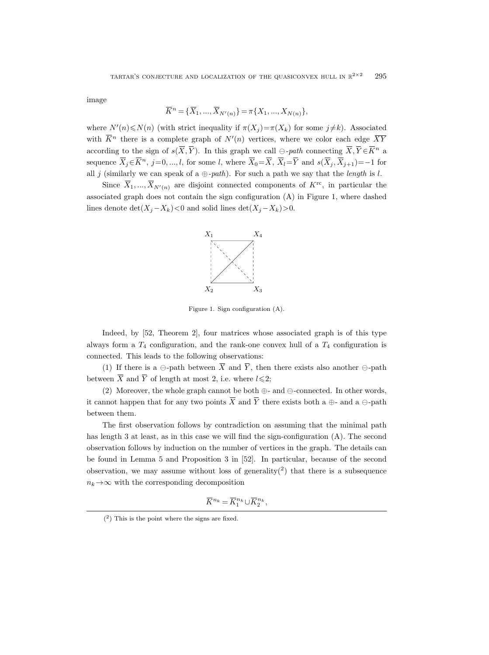image

TURE AND LOCALIZATION OF THE QUASCONV  

$$
\overline{K}^n = \{\overline{X}_1,...,\overline{X}_{N'(n)}\} = \pi\{X_1,...,X_{N(n)}\},
$$

where  $N'(n) \le N(n)$  (with strict inequality if  $\pi(X_j) = \pi(X_k)$  for some  $j \ne k$ ). Associated TARTAR'S CONJECTURE AND LOCALIZAT<br>
image  $\overline{K}^n = \{\overline{X}_1,...,\overline{X}_{N'(n)}$  where  $N'(n) \le N(n)$  (with strict inequality<br>
with  $\overline{K}^n$  there is a complete graph of  $N'$ with  $\overline{K}^n$  there is a complete graph of  $N'(n)$  vertices, where we color each edge  $\overline{XY}$ TARTAR'S CONJECTURE AN:<br>
image<br>  $\overline{K}^n = \{\overline{X}$ <br>
where  $N'(n) \le N(n)$  (with strict<br>
with  $\overline{K}^n$  there is a complete g<br>
according to the sign of  $s(\overline{X}, \overline{Y})$ D LOCALIZATION OF THE QUASICONVEX HULL IN  $\mathbb{R}^{2\times 2}$ <br>  $\overline{X}_{1}, ..., \overline{X}_{N'(n)}$  =  $\pi\{X_{1}, ..., X_{N(n)}\}$ ,<br>  $\overline{X}_{1}, ..., \overline{X}_{N'(n)}$  =  $\pi(X_{k})$  for some  $j \neq k$ . Ass<br>  $\overline{X}_{1}$ ,  $\overline{X}_{k}$  and  $\overline{X}_{k}$  and  $\overline{X}_{k}$  and  $\overline$ 295<br>
coiated<br>
ge  $\overline{XY}$ <br>  $\in \overline{K}^n$  a TARTAR'S CONJECTURE AND LOCALIZATION OF THE QUASIC<br>
image<br>  $\overline{K}^n = {\overline{X}_1, ..., \overline{X}_{N'(n)}} = \pi {X_1, ..., X_{N(n)}}$ <br>
where  $N'(n) \le N(n)$  (with strict inequality if  $\pi(X_j) = \pi(X_k)$  for<br>
with  $\overline{K}^n$  there is a complete graph of  $N'(n)$  book the star s(x) and s( $\overline{X}_j$ , Xj+1)=−1 for the star s( $\overline{X}_j$ , Xj+1)=−1 for the s( $\overline{X}_j$ , Xj+1)=−1 for all j (similarly we can speak of a  $\oplus$ -path). For such a path we say that the *length* is *l*. TARTAR'S CONJECTURE AND LOCALIZATION OF THE QUASICONVEX HULL IN  $\mathbb{R}^{2\times2}$  295<br>
Since  $\overline{K}^n = {\overline{X}_1, ..., \overline{X}_{N'(n)}} = \pi{X_1, ..., X_{N(n)}}$ ,<br>  $\in N'(n) \leq N(n)$  (with strict inequality if  $\pi(X_j) = \pi(X_k)$  for some  $j \neq k$ ). Associate

associated graph does not contain the sign configuration (A) in Figure 1, where dashed lines denote  $\det(X_j - X_k) < 0$  and solid lines  $\det(X_j - X_k) > 0$ .



Figure 1. Sign configuration (A).

Indeed, by [52, Theorem 2], four matrices whose associated graph is of this type always form a  $T_4$  configuration, and the rank-one convex hull of a  $T_4$  configuration is connected. This leads to the following observations: (1) Indeed, by [52, Theorem 2], four matrices<br>
ys form a  $T_4$  configuration, and the rank-ceted. This leads to the following observation<br>
(1) If there is a  $\ominus$ -path between  $\overline{X}$  and  $\overline{Y}$ Indeed, by [5]<br>always form a  $T_4$ <br>connected. This le<br>(1) If there is<br>between  $\overline{X}$  and  $\overline{Y}$ Figure 1. Sign configura<br>  $X_2$  X<br>  $X_3$ <br>
Figure 1. Sign configuration<br>
always form a  $T_4$  configuration, and the rank-one<br>
connected. This leads to the following observations<br>
(1) If there is a  $\ominus$ -path between  $\overline{X$ 

(1) If there is a  $\ominus$ -path between  $\overline{X}$  and  $\overline{Y}$ , then there exists also another  $\ominus$ -path between  $\overline{X}$  and  $\overline{Y}$  of length at most 2, i.e. where  $l \leq 2$ ;

(2) Moreover, the whole graph cannot be both  $\oplus$ -and  $\ominus$ -connected. In other words, it cannot happen that for any two points  $\overline{X}$  and  $\overline{Y}$  there exists both a  $\oplus$ - and a  $\ominus$ -path between them.

The first observation follows by contradiction on assuming that the minimal path has length 3 at least, as in this case we will find the sign-configuration (A). The second observation follows by induction on the number of vertices in the graph. The details can be found in Lemma 5 and Proposition 3 in [52]. In particular, because of the second observation, we may assume without loss of generality<sup>(2)</sup> that there is a subsequence  $n_k \rightarrow \infty$  with the corresponding decomposition t 2, i.e. wh<br>cannot be<br>points  $\overline{X}$  as<br>oy contradi<br>e we will fi<br>the numbe<br>ition 3 in [<br>out loss of<br>composition<br> $\overline{K}^{n_k} = \overline{K}_1^{n_k}$ where  $l \leq$ <br>
be both  $\in$ <br>
and  $\overline{Y}$  t<br>
diction (find the<br>
find the<br>
her of v<br>
i [52]. I<br>
f genera<br>
on<br>  $\sum_{k=1}^{n_k} \cup \overline{K}_2^{n_k}$ 

$$
\overline{K}^{n_k} = \overline{K}_1^{n_k} \cup \overline{K}_2^{n_k},
$$

<sup>(</sup> 2 ) This is the point where the signs are fixed.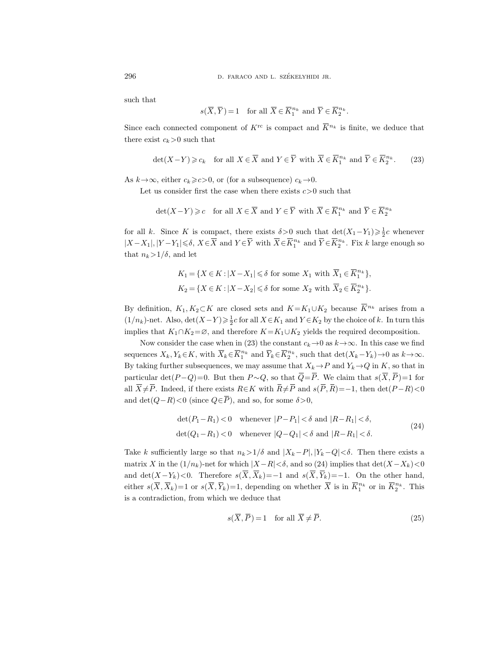such that

D. FARACO AND L. SZÉKELYHIDI JR.
$$
s(\overline{X},\overline{Y})=1\quad\mbox{for all }\overline{X}\in\overline{K}_1^{n_k}\mbox{ and }\overline{Y}\in\overline{K}_2^{n_k}.
$$

296 D. FARACO AND L. SZÉKELYHIDI JR.<br>
such that<br>  $s(\overline{X}, \overline{Y}) = 1$  for all  $\overline{X} \in \overline{K}_1^{n_k}$  and  $\overline{Y} \in \overline{K}_2^{n_k}$ .<br>
Since each connected component of  $K^{\text{re}}$  is compact and  $\overline{K}^{n_k}$  is finite, we deduce th there exist  $c_k>0$  such that D. FARACO AND L. SZÉKI $s(\overline{X},\overline{Y}) = 1 \quad \text{for all $\overline{X} \in \overline{K}_1^n$}$ ch connected component of  $K^{\text{rc}}$  is compa<br/>ist  $c_k > 0$  such that  $\det(X-Y) \geqslant c_k \quad \text{for all $X \in \overline{X}$ and $Y \in \overline{Y}$}$ ELYHIDI JR.<br>
\* and  $\overline{Y} \in \overline{K}_2^{n_k}$ <br>
ct and  $\overline{K}^{n_k}$  is<br>
with  $\overline{X} \in \overline{K}_1^{n_k}$ finite,  $% \mathbf{r}$  and  $\overline{Y}$ we dee<br> $\in \overline{K}_2^{n_k}$  $s(\overline{X}, \overline{Y}) = 1$  for all  $\overline{X} \in \overline{K}_1^n$ <br>
h connected component of  $K^{\text{rc}}$  is comparent of  $c_k > 0$  such that<br>  $\text{let}(X-Y) \geq c_k$  for all  $X \in \overline{X}$  and  $Y \in \overline{Y}$ <br>  $\phi$ , either  $c_k \geq c > 0$ , or (for a subsequence)<br>
u *k* and  $\overline{Y}$  ∈  $\overline{K}_2^{n_k}$ <br>ict and  $\overline{K}^{n_k}$  is<br> $c_k \to 0$ .<br> $c_k \to 0$ .<br>is  $c > 0$  such the with  $\overline{X}$  ∈  $\overline{K}_1^{n_k}$ finite,  $% \mathbf{r}$  and  $\overline{Y}$ <br>t and  $\overline{Y}$ we de $\begin{aligned} \in \overline{K}_2^{n_k} \end{aligned}$ <br/> $\in \overline{K}_2^{n_k}$ 

$$
\det(X - Y) \geq c_k \quad \text{for all } X \in \overline{X} \text{ and } Y \in \overline{Y} \text{ with } \overline{X} \in \overline{K}_1^{n_k} \text{ and } \overline{Y} \in \overline{K}_2^{n_k}.\tag{23}
$$

As  $k \rightarrow \infty$ , either  $c_k \ge c>0$ , or (for a subsequence)  $c_k \rightarrow 0$ .

Let us consider first the case when there exists  $c > 0$  such that

$$
\det(X - Y) \geqslant c \quad \text{for all } X \in \overline{X} \text{ and } Y \in \overline{Y} \text{ with } \overline{X} \in \overline{K}_1^{n_k} \text{ and } \overline{Y} \in \overline{K}_2^{n_k}
$$

for all k. Since K is compact, there exists  $\delta > 0$  such that  $\det(X_1 - Y_1) \geq \frac{1}{2}c$  whenever Since each connected component of *l*<br>there exist  $c_k > 0$  such that<br> $\det(X - Y) \geq c_k$  for all  $X \in$ .<br>As  $k \to \infty$ , either  $c_k \geq c > 0$ , or (for a st<br>Let us consider first the case whe<br>det $(X - Y) \geq c$  for all  $X \in \mathbb{Z}$ <br>for all  $\overline{X}$  and  $Y \in \overline{Y}$ <br>ubsequence)  $c_l$ <br>in there exists<br> $\overline{X}$  and  $Y \in \overline{Y}$ <br>exists  $\delta > 0$  s<br>with  $\overline{X} \in \overline{K}_1^{n_k}$  $n_k^{n_k}$  and  $Y \in K_2^{n_k}$ . Fix k large enough so and  $\overline{X}$ <br>  $\overline{X} \rightarrow 0.$ <br>  $\overline{X} \rightarrow 0$  su  $\overline{X}$ <br>  $\overline{X}$  ch that<br>
and  $\overline{Y}$  $\overline{K}^{n_k}$  is<br>  $\in \overline{K}_1^{n_l}$ <br>  $\neq$   $\overline{K}_1^{n_k}$ <br>  $\downarrow$  det $\downarrow$ <br>  $\in \overline{K}_2^{n_k}$ that  $n_k>1/\delta$ , and let  $(-Y) \geq c_k$  for all  $X \in \overline{X}$  and  $Y \in \overline{Y}$  with  $\overline{X} \in \overline{K}_1^{n_k}$  and<br>  $(x, y) \geq c$  or (for a subsequence)  $c_k \to 0$ .<br>  $(x, y) \geq c$  for all  $X \in \overline{X}$  and  $Y \in \overline{Y}$  with  $\overline{X} \in \overline{K}_1^{n_k}$  and<br>  $(x, y) \geq c$  for al  $x \in C_k$  is the state of the state of  $c_k \to 0$ .<br>
Suder first the case when there exists  $c > 0$  such that<br>  $-Y$ ) ≥  $c$  for all  $X \in \overline{X}$  and  $Y \in \overline{Y}$  with  $\overline{X} \in \overline{K}_1^{n_k}$  and<br>  $x \in K$  is compact, there exists  $\delta >$ Let us consider first the case when there exists  $c > 0$  such that<br>  $\det(X - Y) \geq c$  for all  $X \in \overline{X}$  and  $Y \in \overline{Y}$  with  $\overline{X} \in \overline{K}_1^{n_k}$  and  $\overline{Y} \in \overline{K}_2^{n_k}$ <br>
for all k. Since K is compact, there exists  $\delta > 0$ for all k. Since K is compact, then<br>  $|X - X_1|, |Y - Y_1| \le \delta, X \in \overline{X}$  and  $Y \in$ <br>
that  $n_k > 1/\delta$ , and let<br>  $K_1 = \{X \in K : |X - X$ <br>  $K_2 = \{X \in K : |X - X\}$ <br>
By definition,  $K_1, K_2 \subset K$  are close<br>
(1/ $n_k$ )-net. Also, det $(X - Y) \ge \frac{1}{2}$ Figure exist<br>
Figure with<br>  $|1| \leq \delta$  if<br>  $|2| \leq \delta$  if<br>  $\delta$ <br>
and  $\delta$  if<br>  $K = 3$  if<br>
the and  $\overline{Y}_i$ s  $\delta > 0$ <br>  $\overline{X} \in \overline{K}$ <br>
for som<br>
for som<br>
and  $K$ <br>  $\overline{K}_1$  and<br>  $K = K_1 \cup K$ <br>
consta<br>  $\overline{k} \in \overline{K}_2^{n_k}$ 

$$
K_1 = \{ X \in K : |X - X_1| \le \delta \text{ for some } X_1 \text{ with } \overline{X}_1 \in \overline{K}_1^{n_k} \},
$$
  

$$
K_2 = \{ X \in K : |X - X_2| \le \delta \text{ for some } X_2 \text{ with } \overline{X}_2 \in \overline{K}_2^{n_k} \}.
$$

(1/n<sub>k</sub>)-net. Also,  $\det(X-Y)$ ≥ $\frac{1}{2}c$  for all  $X \in K_1$  and  $Y \in K_2$  by the choice of k. In turn this implies that  $K_1 \cap K_2 = \emptyset$ , and therefore  $K = K_1 \cup K_2$  yields the required decomposition.

Now consider the case when in (23) the constant  $c_k \rightarrow 0$  as  $k \rightarrow \infty$ . In this case we find  $i_1^{n_k}$  and  $Y_k \in K_2^{n_k}$ , such that  $\det(X_k - Y_k) \to 0$  as  $k \to \infty$ . By taking further subsequences, we may assume that  $X_k \to P$  and  $Y_k \to Q$  in K, so that in particular det(<sup>P</sup> <sup>−</sup>Q)=0. But then <sup>P</sup> <sup>∼</sup>Q, so that <sup>Q</sup>  $X_1$  v<br>  $X_2$  v<br>  $X_1 \cup$ <br>  $\in K$ <br>
yield<br>  $\infty_k \rightarrow$ <br>  $X_k - \overline{P}$ with  $\overline{X}_1 \in \overline{K}_1^{n_k}$ ,<br>
with  $\overline{X}_2 \in \overline{K}_2^{n_k}$ .<br>  $K_2$  because  $\overline{K}^{n_k}$  arises<br>  $\overline{X}_2$  by the choice of  $k$ . In the<br>
ds the required decompo<br>  $\Theta$  as  $k \rightarrow \infty$ . In this case<br>
that det $(X_k - Y_k) \rightarrow 0$  as<br>  $\rightarrow P$ particular det(P-Q)=0. But then  $P\sim Q$ , so that  $\overline{Q}=\overline{P}$ . We claim that  $s(\overline{X},\overline{P})=1$  for By defini<br>  $(1/n_k)$ -ne<br>
implies the<br>
sequences<br>
By taking<br>
particula<br>
all  $\overline{X} \neq \overline{P}$  $K_1 = \{X \in K : |X - X_1| \leq \delta \text{ for som }$ <br>  $K_2 = \{X \in K : |X - X_2| \leq \delta \text{ for som }$ <br>
ition,  $K_1, K_2 \subset K$  are closed sets and  $K_1$ <br>
et. Also,  $\det(X - Y) \geq \frac{1}{2}c$  for all  $X \in K_1$  and<br>
hat  $K_1 \cap K_2 = \emptyset$ , and therefore  $K = K_1 \cup K$ <br>
consider t and s(P , h  $\overline{X}_1 \in \overline{K}_1^{n_k}$ ,<br>
h  $\overline{X}_2 \in \overline{K}_2^{n_k}$ .<br>
because  $\overline{K}^{n_k}$  arises from a<br>
by the choice of k. In turn this<br>
the required decomposition.<br>
as  $k \to \infty$ . In this case we find<br>
at det( $X_k - Y_k$ ) →0 as  $k \to \infty$ .<br>  $K_1 = \{X \in K : |X_2| \le K\}$ <br>  $K_2 = \{X \in K : |X_2| \le K\}$ <br>
By definition,  $K_1, K_2 \subset K$  are  $(1/n_k)$ -net. Also,  $\det(X - Y) \ge \lim_{k \to \infty} \sum_{k \in K} K_1 \cap K_2 = \emptyset$ , and therefore Nesequences  $X_k, Y_k \in K$ , with  $\overline{X}_k$  (By taking further subseq and  $\det(Q-R) < 0$  (since  $Q \in \overline{P}$ ), and so, for some  $\delta > 0$ , sequences  $X_k, Y_k \in K$ , with  $\overline{X}_k \in \overline{K}_1^{n_k}$  and  $\overline{Y}_k \in \overline{K}_2^{n_k}$ , such th<br>By taking further subsequences, we may assume that  $X_k \rightarrow$ <br>particular det( $P-Q$ )=0. But then  $P \sim Q$ , so that  $\overline{Q} = \overline{P}$ .<br>all  $\overline{$ By taking further subsequenc<br>
particular det( $P-Q$ )=0. Bu<br>
all  $\overline{X} \neq \overline{P}$ . Indeed, if there exi<br>
and det( $Q-R$ )<0 (since  $Q \in$ <br>  $\det(P_1 - R_1)$  <<br>  $\det(Q_1 - R_1)$  <<br>
Take k sufficiently large so th<br>
matrix X in the ( $1/n_k$ ) ces, we may assume that  $X_k \rightarrow P$  and  $Y_k \rightarrow \infty$ <br>t then  $P \sim Q$ , so that  $\overline{Q} = \overline{P}$ . We claim th<br>ists  $R \in K$  with  $\overline{R} \neq \overline{P}$  and  $s(\overline{P}, \overline{R}) = -1$ , th<br> $\overline{P}$ ), and so, for some  $\delta > 0$ ,<br> $< 0$  whenever  $|P - P_1| <$ or in  $K$ , so<br>t  $s(\overline{X}, \overline{P})$ <br>en det $(P-$ <br> $\cdot$ ,<br> $\delta$ .<br>en there e<br>the other<br>the other<br>or in  $\overline{K}_2^{n_k}$ 

$$
\det(P_1 - R_1) < 0 \quad \text{whenever} \quad |P - P_1| < \delta \text{ and } |R - R_1| < \delta,
$$
\n
$$
\det(Q_1 - R_1) < 0 \quad \text{whenever} \quad |Q - Q_1| < \delta \text{ and } |R - R_1| < \delta. \tag{24}
$$

Take k sufficiently large so that  $n_k>1/\delta$  and  $|X_k-P|, |Y_k-Q|<\delta$ . Then there exists a matrix X in the  $(1/n_k)$ -net for which  $|X-R|<\delta$ , and so (24) implies that  $\det(X-X_k)<0$ and  $\det(X-Y_k)<0$ . Therefore  $s(\overline{X},\overline{X}_k)=-1$  and  $s(\overline{X},\overline{Y}_k)=-1$ . On the other hand,  $i_1^{n_k}$  or in  $K_2^{n_k}$ . This is a contradiction, from which we deduce that  $\overline{P}$ ), and<br>  $0 \text{ when }$ <br>  $0 \text{ when }$ <br>  $x \geq 0$ <br>  $x \geq 0$ <br>  $x \geq 0$ <br>  $x \geq 1$ <br>  $x \geq 0$ <br>  $x \in \overline{X}$ <br>  $x \in \overline{X}$ <br>  $x \in \overline{X}$ so, for some  $\delta > 0$ ,<br>
snewer  $|P-P_1| < \delta$  as<br>
enever  $|Q-Q_1| < \delta$  as<br>  $\frac{1}{\delta}$  and  $|X_k - P|$ ,  $|Y|$ <br>  $|X-R| < \delta$ , and so  $(2\overline{X}_k) = -1$  and  $s(\overline{X})$ ,<br>
epending on whether<br>
luce that<br>  $) = 1$  for all  $\overline{X} \neq \overline{P}$ 

$$
s(\overline{X}, \overline{P}) = 1 \quad \text{for all } \overline{X} \neq \overline{P}.
$$
 (25)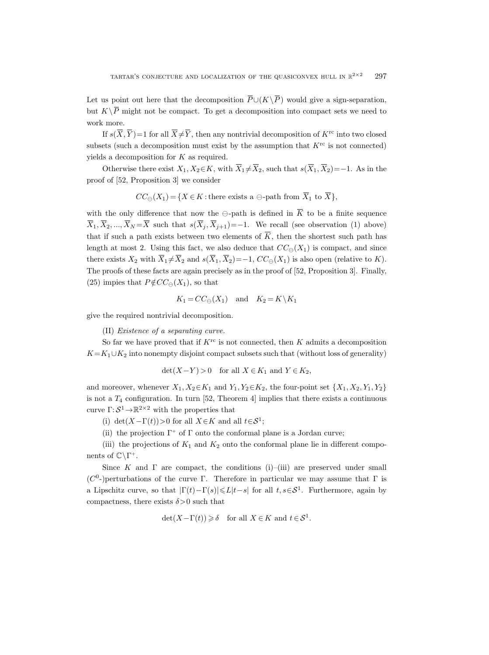TARTAR'S CONJECTURE AND LOCALIZATION OF THE US point out here that the decomposition  $\overline{P}$ F THE QI $\cup (K\backslash \overline{P})$ Let us point out here that the decomposition  $\overline{P} \cup (K \setminus \overline{P})$  would give a sign-separation,  $\begin{aligned} \text{TAI} \\ \text{Let us point } K\backslash \overline{P} \end{aligned}$ but  $K\backslash\overline{P}$  might not be compact. To get a decomposition into compact sets we need to work more. TARTAF $K \setminus \overline{P}$  might of  $K \setminus \overline{P}$  might of  $\text{If } s(\overline{X}, \overline{Y})$ <sup>2</sup> conjecture at the solution of the that the company  $)=1$  for all  $\overline{X}\neq\overline{Y}$ TARTAR'S CONJECTURE AND LOCALIZATION OF THE QUASICONVEX HULL IN  $\mathbb{R}^{2\times 2}$  297<br>us point out here that the decomposition  $\overline{P} \cup (K \setminus \overline{P})$  would give a sign-separation,<br> $K \setminus \overline{P}$  might not be compact. To get a s CONJECTURE AND LOCALIZATION OF THE QUASICONVEX HULL<br>ut here that the decomposition  $\overline{P} \cup (K \setminus \overline{P})$  would give a si<br>ht not be compact. To get a decomposition into compact s<br>=1 for all  $\overline{X} \neq \overline{Y}$ , then any no Let us point out here that the decomposition  $\overline{P} \cup (K \setminus \overline{P})$  would give a sign-separation,<br>but  $K \setminus \overline{P}$  might not be compact. To get a decomposition into compact sets we need to<br>work more.<br>If  $s(\overline{X}, \overline{Y}) = 1$ 

If  $s(\overline{X}, \overline{Y}) = 1$  for all  $\overline{X} \neq \overline{Y}$ , then any nontrivial decomposition of  $K^{\text{rc}}$  into two closed subsets (such a decomposition must exist by the assumption that  $K^{\text{rc}}$  is not connected) yields a decomposition for  $K$  as required. Let us point out here that the decomposition  $P\cup(K \backslash P)$  would give a sign-separation,<br>but  $K\setminus\overline{P}$  might not be compact. To get a decomposition into compact sets we need to<br>work more.<br>If  $s(\overline{X}, \overline{Y})=1$  for all  $\over$ 

proof of [52, Proposition 3] we consider

$$
CC_{\ominus}(X_1) = \{ X \in K : \text{there exists a } \ominus \text{-path from } \overline{X}_1 \text{ to } \overline{X} \},
$$

but  $K \setminus P$  might not be compact. To get a decomposition into compact sets we need to<br>work more.<br>If  $s(\overline{X}, \overline{Y}) = 1$  for all  $\overline{X} \neq \overline{Y}$ , then any nontrivial decomposition of  $K^{rc}$  into two closed<br>subsets (such a length at most 2. Using this fact, we also deduce that  $CC_{\ominus}(X_1)$  is compact, and since If  $s(X, Y) = 1$  for all  $X \neq Y$ , then any nontrivial decomposition of  $K^{1c}$  into two closed<br>subsets (such a decomposition must exist by the assumption that  $K^{rc}$  is not connected)<br>yields a decomposition for  $K$  as requi The proofs of these facts are again precisely as in the proof of [52, Proposition 3]. Finally, (25) impies that  $P \notin CC_{\ominus}(X_1)$ , so that

$$
K_1 = CC_{\ominus}(X_1) \quad \text{and} \quad K_2 = K \backslash K_1
$$

give the required nontrivial decomposition.

(II) Existence of a separating curve.

So far we have proved that if  $K^{\text{rc}}$  is not connected, then K admits a decomposition  $K=K_1\cup K_2$  into nonempty disjoint compact subsets such that (without loss of generality)

$$
\det(X - Y) > 0 \quad \text{for all } X \in K_1 \text{ and } Y \in K_2,
$$

and moreover, whenever  $X_1, X_2 \in K_1$  and  $Y_1, Y_2 \in K_2$ , the four-point set  $\{X_1, X_2, Y_1, Y_2\}$ is not a  $T_4$  configuration. In turn [52, Theorem 4] implies that there exists a continuous curve  $\Gamma: \mathcal{S}^1 \to \mathbb{R}^{2 \times 2}$  with the properties that

(i) det(X- $\Gamma(t)$ )>0 for all  $X \in K$  and all  $t \in S^1$ ;

(ii) the projection  $\Gamma^+$  of  $\Gamma$  onto the conformal plane is a Jordan curve;

(iii) the projections of  $K_1$  and  $K_2$  onto the conformal plane lie in different components of  $\mathbb{C}\backslash\Gamma^+$ .

Since K and  $\Gamma$  are compact, the conditions (i)–(iii) are preserved under small ( $C^0$ -)perturbations of the curve Γ. Therefore in particular we may assume that Γ is a Lipschitz curve, so that  $|\Gamma(t) - \Gamma(s)| \le L |t-s|$  for all  $t, s \in S^1$ . Furthermore, again by compactness, there exists  $\delta$ >0 such that

$$
\det(X - \Gamma(t)) \ge \delta \quad \text{for all } X \in K \text{ and } t \in S^1.
$$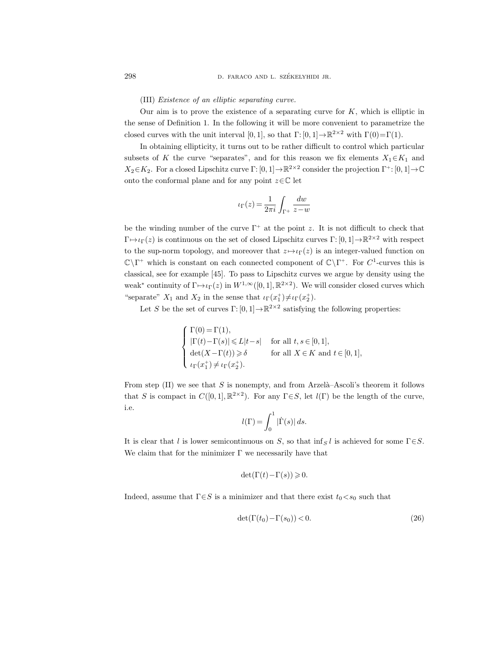#### (III) Existence of an elliptic separating curve.

Our aim is to prove the existence of a separating curve for  $K$ , which is elliptic in the sense of Definition 1. In the following it will be more convenient to parametrize the closed curves with the unit interval [0, 1], so that  $\Gamma: [0, 1] \to \mathbb{R}^{2 \times 2}$  with  $\Gamma(0) = \Gamma(1)$ .

In obtaining ellipticity, it turns out to be rather difficult to control which particular subsets of K the curve "separates", and for this reason we fix elements  $X_1 \in K_1$  and  $X_2 \in K_2$ . For a closed Lipschitz curve  $\Gamma: [0, 1] \to \mathbb{R}^{2 \times 2}$  consider the projection  $\Gamma^+ : [0, 1] \to \mathbb{C}$ onto the conformal plane and for any point  $z \in \mathbb{C}$  let

$$
\iota_{\Gamma}(z) = \frac{1}{2\pi i} \int_{\Gamma^+} \frac{dw}{z-w}
$$

be the winding number of the curve  $\Gamma^+$  at the point z. It is not difficult to check that  $\Gamma \mapsto \iota_{\Gamma}(z)$  is continuous on the set of closed Lipschitz curves  $\Gamma : [0, 1] \to \mathbb{R}^{2 \times 2}$  with respect to the sup-norm topology, and moreover that  $z \mapsto \iota_{\Gamma}(z)$  is an integer-valued function on  $\mathbb{C}\backslash\Gamma^+$  which is constant on each connected component of  $\mathbb{C}\backslash\Gamma^+$ . For  $C^1$ -curves this is classical, see for example [45]. To pass to Lipschitz curves we argue by density using the weak<sup>\*</sup> continuity of  $\Gamma \mapsto \iota_{\Gamma}(z)$  in  $W^{1,\infty}([0,1], \mathbb{R}^{2\times 2})$ . We will consider closed curves which "separate"  $X_1$  and  $X_2$  in the sense that  $\iota_{\Gamma}(x_1^+) \neq \iota_{\Gamma}(x_2^+)$ .

Let S be the set of curves  $\Gamma$ : [0, 1]  $\rightarrow \mathbb{R}^{2 \times 2}$  satisfying the following properties:

$$
\begin{cases}\n\Gamma(0) = \Gamma(1), \\
|\Gamma(t) - \Gamma(s)| \le L|t - s| & \text{for all } t, s \in [0, 1], \\
\det(X - \Gamma(t)) \ge \delta & \text{for all } X \in K \text{ and } t \in [0, 1], \\
\iota_{\Gamma}(x_1^+) \ne \iota_{\Gamma}(x_2^+).\n\end{cases}
$$

From step  $(II)$  we see that S is nonempty, and from Arzelà–Ascoli's theorem it follows that S is compact in  $C([0,1], \mathbb{R}^{2\times 2})$ . For any  $\Gamma \in S$ , let  $l(\Gamma)$  be the length of the curve, i.e.

$$
l(\Gamma) = \int_0^1 |\dot{\Gamma}(s)| \, ds.
$$

It is clear that l is lower semicontinuous on S, so that  $\inf_S l$  is achieved for some  $\Gamma \in S$ . We claim that for the minimizer  $\Gamma$  we necessarily have that

$$
\det(\Gamma(t) - \Gamma(s)) \geq 0.
$$

Indeed, assume that  $\Gamma \in S$  is a minimizer and that there exist  $t_0 < s_0$  such that

$$
\det(\Gamma(t_0) - \Gamma(s_0)) < 0. \tag{26}
$$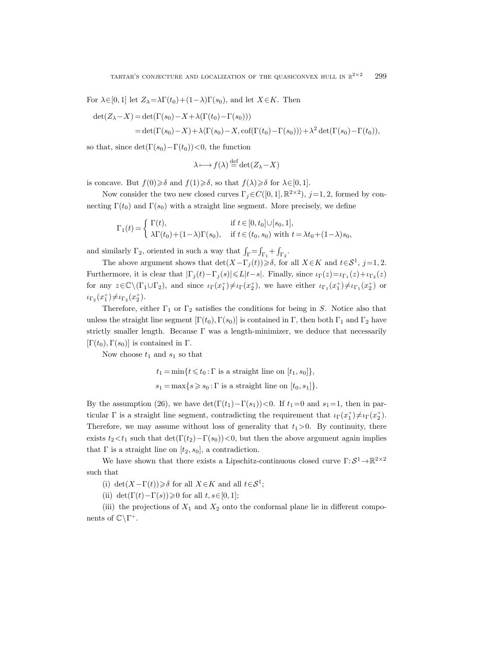For  $\lambda \in [0, 1]$  let  $Z_{\lambda} = \lambda \Gamma(t_0) + (1 - \lambda) \Gamma(s_0)$ , and let  $X \in K$ . Then

$$
det(Z_{\lambda} - X) = det(\Gamma(s_0) - X + \lambda(\Gamma(t_0) - \Gamma(s_0)))
$$
  
= det(\Gamma(s\_0) - X) + \lambda(\Gamma(s\_0) - X, cof(\Gamma(t\_0) - \Gamma(s\_0))) + \lambda^2 det(\Gamma(s\_0) - \Gamma(t\_0)),

so that, since  $\det(\Gamma(s_0)-\Gamma(t_0))<0$ , the function

$$
\lambda \longmapsto f(\lambda) \stackrel{\text{def}}{=} \det(Z_{\lambda} - X)
$$

is concave. But  $f(0) \geq \delta$  and  $f(1) \geq \delta$ , so that  $f(\lambda) \geq \delta$  for  $\lambda \in [0, 1]$ .

Now consider the two new closed curves  $\Gamma_j \in C([0,1], \mathbb{R}^{2 \times 2})$ ,  $j=1, 2$ , formed by connecting  $\Gamma(t_0)$  and  $\Gamma(s_0)$  with a straight line segment. More precisely, we define

$$
\Gamma_1(t) = \begin{cases} \Gamma(t), & \text{if } t \in [0, t_0] \cup [s_0, 1], \\ \lambda \Gamma(t_0) + (1 - \lambda) \Gamma(s_0), & \text{if } t \in (t_0, s_0) \text{ with } t = \lambda t_0 + (1 - \lambda)s_0, \end{cases}
$$

and similarly  $\Gamma_2$ , oriented in such a way that  $\int_{\Gamma} = \int_{\Gamma_1} + \int_{\Gamma_2}$ .

The above argument shows that  $\det(X - \Gamma_j(t)) \geq \delta$ , for all  $X \in K$  and  $t \in S^1$ , j=1,2. Furthermore, it is clear that  $|\Gamma_j(t) - \Gamma_j(s)| \le L|t-s|$ . Finally, since  $\iota_{\Gamma}(z) = \iota_{\Gamma_1}(z) + \iota_{\Gamma_2}(z)$ for any  $z \in \mathbb{C} \setminus (\Gamma_1 \cup \Gamma_2)$ , and since  $\iota_{\Gamma}(x_1^+) \neq \iota_{\Gamma}(x_2^+)$ , we have either  $\iota_{\Gamma_1}(x_1^+) \neq \iota_{\Gamma_1}(x_2^+)$  or  $\iota_{\Gamma_2}(x_1^+) \neq \iota_{\Gamma_2}(x_2^+).$ 

Therefore, either  $\Gamma_1$  or  $\Gamma_2$  satisfies the conditions for being in S. Notice also that unless the straight line segment  $[\Gamma(t_0), \Gamma(s_0)]$  is contained in Γ, then both Γ<sub>1</sub> and Γ<sub>2</sub> have strictly smaller length. Because  $\Gamma$  was a length-minimizer, we deduce that necessarily  $[\Gamma(t_0), \Gamma(s_0)]$  is contained in Γ.

Now choose  $t_1$  and  $s_1$  so that

$$
t_1 = \min\{t \leq t_0 : \Gamma \text{ is a straight line on } [t_1, s_0]\},\
$$
  
 $s_1 = \max\{s \geq s_0 : \Gamma \text{ is a straight line on } [t_0, s_1]\}.$ 

By the assumption (26), we have  $\det(\Gamma(t_1)-\Gamma(s_1))<0$ . If  $t_1=0$  and  $s_1=1$ , then in particular  $\Gamma$  is a straight line segment, contradicting the requirement that  $\iota_{\Gamma}(x_1^+) \neq \iota_{\Gamma}(x_2^+)$ . Therefore, we may assume without loss of generality that  $t_1>0$ . By continuity, there exists  $t_2 < t_1$  such that  $\det(\Gamma(t_2)-\Gamma(s_0)) < 0$ , but then the above argument again implies that  $\Gamma$  is a straight line on  $[t_2, s_0]$ , a contradiction.

We have shown that there exists a Lipschitz-continuous closed curve  $\Gamma: \mathcal{S}^1 \to \mathbb{R}^{2 \times 2}$ such that

(i) det( $X-\Gamma(t)$ )  $\geq \delta$  for all  $X \in K$  and all  $t \in S^1$ ;

(ii) det( $\Gamma(t) - \Gamma(s)$ ) ≥ 0 for all  $t, s \in [0, 1]$ ;

(iii) the projections of  $X_1$  and  $X_2$  onto the conformal plane lie in different components of  $\mathbb{C}\backslash\Gamma^+$ .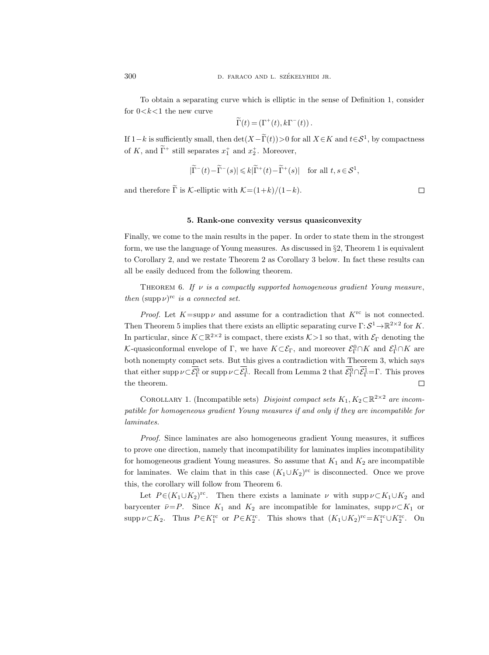To obtain a separating curve which is elliptic in the sense of Definition 1, consider for  $0 < k < 1$  the new curve

$$
\Gamma(t) = (\Gamma^+(t), k\Gamma^-(t)) \ .
$$

If  $1-k$  is sufficiently small, then  $\det(X-\Gamma(t))>0$  for all  $X\in K$  and  $t\in S^1$ , by compactness of K, and  $\Gamma^+$  still separates  $x_1^+$  and  $x_2^+$ . Moreover,

$$
|\widetilde{\Gamma}^-(t) - \widetilde{\Gamma}^-(s)| \leq k|\widetilde{\Gamma}^+(t) - \widetilde{\Gamma}^+(s)| \quad \text{for all } t, s \in \mathcal{S}^1,
$$

and therefore  $\tilde{\Gamma}$  is K-elliptic with  $\mathcal{K}=(1+k)/(1-k)$ .

# 5. Rank-one convexity versus quasiconvexity

Finally, we come to the main results in the paper. In order to state them in the strongest form, we use the language of Young measures. As discussed in  $\S 2$ , Theorem 1 is equivalent to Corollary 2, and we restate Theorem 2 as Corollary 3 below. In fact these results can all be easily deduced from the following theorem.

THEOREM 6. If  $\nu$  is a compactly supported homogeneous gradient Young measure, then  $(\text{supp }\nu)$ <sup>rc</sup> is a connected set.

form, we use the langu<br>to Corollary 2, and we<br>all be easily deduced f<br>THEOREM 6. If then (supp $\nu$ )<sup>rc</sup> is a co<br>Proof. Let  $K$ =su<br>Then Theorem 5 impli<br>In particular, since  $K$ <br> $K$ -quasiconformal env<br>both nonempty compa<br>th age of Young n<br>restate Theor<br>om the follow<br>is a compact<br>nnected set.<br>pp  $\nu$  and assumed as that there e<br> $\mathbb{R}^{2\times 2}$  is complope of  $\Gamma$ , we<br>ct sets. But there e<br>or supp  $\nu \subset \overline{\mathcal{E}}_{\Gamma}^{\Gamma}$ neasures. As discussed in §2, Th<br>
rem 2 as Corollary 3 below. In<br>
ring theorem.<br> *lly supported homogeneous grad*<br>
me for a contradiction that *K*<br>
xists an elliptic separating curv<br>
pact, there exists  $K > 1$  so that,<br>
ch Theore<br>
I fact<br>
International<br>  $K^{\rm rc}$  is<br>  $\mathcal{E}^0_\Gamma \cap K$ <br>
Theor<br>  $\overline{\mathcal{E}}^0_\Gamma \cap \overline{\mathcal{E}^1_\Gamma}$ *Proof.* Let  $K = \text{supp }\nu$  and assume for a contradiction that  $K^{\text{rc}}$  is not connected. Then Theorem 5 implies that there exists an elliptic separating curve  $\Gamma: \mathcal{S}^1 \to \mathbb{R}^{2 \times 2}$  for K. In particular, since  $K \subset \mathbb{R}^{2 \times 2}$  is compact, there exists  $K>1$  so that, with  $\mathcal{E}_{\Gamma}$  denoting the K-quasiconformal envelope of  $\Gamma$ , we have  $K \subset \mathcal{E}_{\Gamma}$ , and moreover  $\mathcal{E}_{\Gamma}^0 \cap K$  and  $\mathcal{E}_{\Gamma}^1 \cap K$  are both nonempty compact sets. But this gives a contradiction with Theorem 3, which says <sup>0</sup> or supp  $\nu \subset \mathcal{E}_{\Gamma}^1$ . Recall from Lemma 2 that  $\mathcal{E}_{\Gamma}^0 \cap \mathcal{E}_{\Gamma}^1 = \Gamma$ . This proves  $\Box$ the theorem.

COROLLARY 1. (Incompatible sets) Disjoint compact sets  $K_1, K_2 \subset \mathbb{R}^{2 \times 2}$  are incompatible for homogeneous gradient Young measures if and only if they are incompatible for laminates.

Proof. Since laminates are also homogeneous gradient Young measures, it suffices to prove one direction, namely that incompatibility for laminates implies incompatibility for homogeneous gradient Young measures. So assume that  $K_1$  and  $K_2$  are incompatible for laminates. We claim that in this case  $(K_1 \cup K_2)^{rc}$  is disconnected. Once we prove this, the corollary will follow from Theorem 6.

Let  $P \in (K_1 \cup K_2)^{rc}$ . Then there exists a laminate  $\nu$  with supp  $\nu \subset K_1 \cup K_2$  and barycenter  $\bar{\nu}=P$ . Since  $K_1$  and  $K_2$  are incompatible for laminates, supp  $\nu \subset K_1$  or supp  $\nu \subset K_2$ . Thus  $P \in K_1^{\text{rc}}$  or  $P \in K_2^{\text{rc}}$ . This shows that  $(K_1 \cup K_2)^{\text{rc}} = K_1^{\text{rc}} \cup K_2^{\text{rc}}$ . On

 $\Box$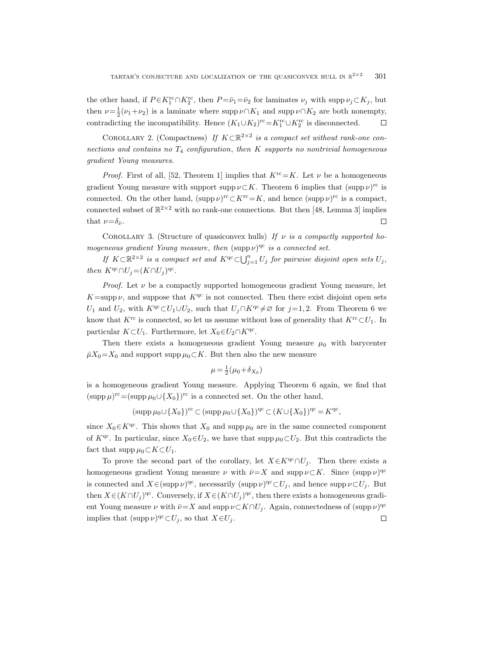the other hand, if  $P \in K_1^{\text{rc}} \cap K_2^{\text{rc}}$ , then  $P = \bar{\nu}_1 = \bar{\nu}_2$  for laminates  $\nu_j$  with supp  $\nu_j \subset K_j$ , but then  $\nu = \frac{1}{2}(\nu_1 + \nu_2)$  is a laminate where supp  $\nu \cap K_1$  and supp  $\nu \cap K_2$  are both nonempty, contradicting the incompatibility. Hence  $(K_1 \cup K_2)^{rc} = K_1^{rc} \cup K_2^{rc}$  is disconnected.  $\Box$ 

COROLLARY 2. (Compactness) If  $K \subset \mathbb{R}^{2 \times 2}$  is a compact set without rank-one connections and contains no  $T_4$  configuration, then K supports no nontrivial homogeneous gradient Young measures.

*Proof.* First of all, [52, Theorem 1] implies that  $K^{rc}=K$ . Let  $\nu$  be a homogeneous gradient Young measure with support supp  $\nu \subset K$ . Theorem 6 implies that  $(\text{supp }\nu)^{rc}$  is connected. On the other hand,  $(\text{supp }\nu)^{rc} \subset K^{rc} = K$ , and hence  $(\text{supp }\nu)^{rc}$  is a compact, connected subset of  $\mathbb{R}^{2\times 2}$  with no rank-one connections. But then [48, Lemma 3] implies that  $\nu = \delta_{\bar{\nu}}$ .  $\Box$ 

COROLLARY 3. (Structure of quasiconvex hulls) If  $\nu$  is a compactly supported homogeneous gradient Young measure, then  $(\text{supp }\nu)^{\text{qc}}$  is a connected set.

If  $K \subset \mathbb{R}^{2 \times 2}$  is a compact set and  $K^{\text{qc}} \subset \bigcup_{j=1}^n U_j$  for pairwise disjoint open sets  $U_j$ , then  $K^{qc} \cap U_j = (K \cap U_j)^{qc}$ .

*Proof.* Let  $\nu$  be a compactly supported homogeneous gradient Young measure, let  $K=\text{supp }\nu$ , and suppose that  $K^{\text{qc}}$  is not connected. Then there exist disjoint open sets  $U_1$  and  $U_2$ , with  $K^{qc} ⊂ U_1 \cup U_2$ , such that  $U_j ∩ K^{qc} \neq \emptyset$  for  $j=1, 2$ . From Theorem 6 we know that  $K^{\text{rc}}$  is connected, so let us assume without loss of generality that  $K^{\text{rc}}\subset U_1$ . In particular  $K \subset U_1$ . Furthermore, let  $X_0 \in U_2 \cap K^{qc}$ .

Then there exists a homogeneous gradient Young measure  $\mu_0$  with barycenter  $\bar{\mu}X_0 = X_0$  and support supp  $\mu_0 \subset K$ . But then also the new measure

$$
\mu = \frac{1}{2}(\mu_0 + \delta_{X_0})
$$

is a homogeneous gradient Young measure. Applying Theorem 6 again, we find that  $(\text{supp }\mu)^{rc} = (\text{supp }\mu_0 \cup \{X_0\})^{rc}$  is a connected set. On the other hand,

$$
(\mathrm{supp}\,\mu_0\cup\{X_0\})^{\mathrm{rc}}\subset (\mathrm{supp}\,\mu_0\cup\{X_0\})^{\mathrm{qc}}\subset (K\cup\{X_0\})^{\mathrm{qc}}=K^{\mathrm{qc}},
$$

since  $X_0 \in K^{qc}$ . This shows that  $X_0$  and supp  $\mu_0$  are in the same connected component of K<sup>qc</sup>. In particular, since  $X_0 \in U_2$ , we have that supp  $\mu_0 \subset U_2$ . But this contradicts the fact that  $\text{supp }\mu_0 \subset K \subset U_1$ .

To prove the second part of the corollary, let  $X \in K^{qc} \cap U_i$ . Then there exists a homogeneous gradient Young measure  $\nu$  with  $\bar{\nu}=X$  and supp  $\nu\subset K$ . Since  $(\text{supp }\nu)^{\text{qc}}$ is connected and  $X \in (\text{supp }\nu)^{\text{qc}}$ , necessarily  $(\text{supp }\nu)^{\text{qc}} \subset U_j$ , and hence  $\text{supp }\nu \subset U_j$ . But then  $X \in (K \cap U_j)^{\text{qc}}$ . Conversely, if  $X \in (K \cap U_j)^{\text{qc}}$ , then there exists a homogeneous gradient Young measure  $\nu$  with  $\bar{\nu}=X$  and supp  $\nu\subset K\cap U_j$ . Again, connectedness of  $(\text{supp }\nu)^{\text{qc}}$ implies that  $(\text{supp }\nu)^{\text{qc}} \subset U_j$ , so that  $X \in U_j$ .  $\Box$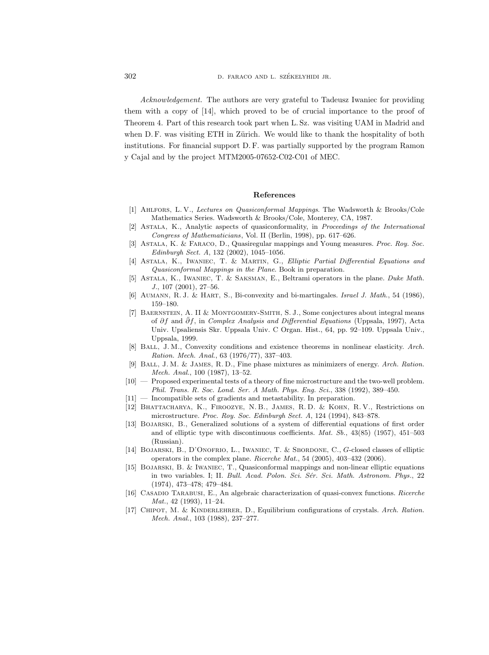302 D. FARACO AND L. SZÉKELYHIDI JR.

Acknowledgement. The authors are very grateful to Tadeusz Iwaniec for providing them with a copy of [14], which proved to be of crucial importance to the proof of Theorem 4. Part of this research took part when L. Sz. was visiting UAM in Madrid and when D. F. was visiting ETH in Zürich. We would like to thank the hospitality of both institutions. For financial support D. F. was partially supported by the program Ramon y Cajal and by the project MTM2005-07652-C02-C01 of MEC.

## References

- [1] Ahlfors, L. V., Lectures on Quasiconformal Mappings. The Wadsworth & Brooks/Cole Mathematics Series. Wadsworth & Brooks/Cole, Monterey, CA, 1987.
- [2] Astala, K., Analytic aspects of quasiconformality, in Proceedings of the International Congress of Mathematicians, Vol. II (Berlin, 1998), pp. 617–626.
- [3] Astala, K. & Faraco, D., Quasiregular mappings and Young measures. Proc. Roy. Soc. Edinburgh Sect. A, 132 (2002), 1045–1056.
- [4] Astala, K., Iwaniec, T. & Martin, G., Elliptic Partial Differential Equations and Quasiconformal Mappings in the Plane. Book in preparation.
- [5] Astala, K., Iwaniec, T. & Saksman, E., Beltrami operators in the plane. Duke Math. J., 107 (2001), 27–56.
- [6] Aumann, R. J. & Hart, S., Bi-convexity and bi-martingales. Israel J. Math., 54 (1986), 159–180.
- [7] Baernstein, A. II & Montgomery-Smith, S. J., Some conjectures about integral means of  $\partial f$  and  $\bar{\partial} f$ , in Complex Analysis and Differential Equations (Uppsala, 1997), Acta Univ. Upsaliensis Skr. Uppsala Univ. C Organ. Hist., 64, pp. 92–109. Uppsala Univ., Uppsala, 1999.
- [8] Ball, J. M., Convexity conditions and existence theorems in nonlinear elasticity. Arch. Ration. Mech. Anal., 63 (1976/77), 337–403.
- [9] Ball, J. M. & James, R. D., Fine phase mixtures as minimizers of energy. Arch. Ration. Mech. Anal., 100 (1987), 13–52.
- [10] Proposed experimental tests of a theory of fine microstructure and the two-well problem. Phil. Trans. R. Soc. Lond. Ser. A Math. Phys. Eng. Sci., 338 (1992), 389–450.
- [11] Incompatible sets of gradients and metastability. In preparation.
- [12] Bhattacharya, K., Firoozye, N. B., James, R. D. & Kohn, R. V., Restrictions on microstructure. Proc. Roy. Soc. Edinburgh Sect. A, 124 (1994), 843–878.
- [13] Bojarski, B., Generalized solutions of a system of differential equations of first order and of elliptic type with discontinuous coefficients. Mat. Sb., 43(85) (1957), 451–503 (Russian).
- [14] Bojarski, B., D'Onofrio, L., Iwaniec, T. & Sbordone, C., G-closed classes of elliptic operators in the complex plane. Ricerche Mat., 54 (2005), 403–432 (2006).
- [15] Bojarski, B. & Iwaniec, T., Quasiconformal mappings and non-linear elliptic equations in two variables. I; II. Bull. Acad. Polon. Sci. Sér. Sci. Math. Astronom. Phys., 22 (1974), 473–478; 479–484.
- [16] CASADIO TARABUSI, E., An algebraic characterization of quasi-convex functions. Ricerche Mat., 42 (1993), 11–24.
- [17] CHIPOT, M. & KINDERLEHRER, D., Equilibrium configurations of crystals. Arch. Ration. Mech. Anal., 103 (1988), 237–277.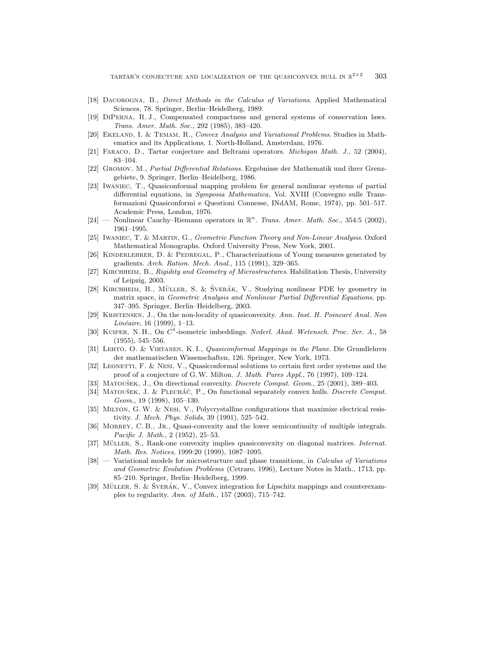- [18] Dacorogna, B., Direct Methods in the Calculus of Variations. Applied Mathematical Sciences, 78. Springer, Berlin–Heidelberg, 1989.
- [19] DiPerna, R. J., Compensated compactness and general systems of conservation laws. Trans. Amer. Math. Soc., 292 (1985), 383–420.
- [20] EKELAND, I. & TEMAM, R., Convex Analysis and Variational Problems. Studies in Mathematics and its Applications, 1. North-Holland, Amsterdam, 1976.
- [21] Faraco, D., Tartar conjecture and Beltrami operators. Michigan Math. J., 52 (2004), 83–104.
- [22] Gromov, M., Partial Differential Relations. Ergebnisse der Mathematik und ihrer Grenzgebiete, 9. Springer, Berlin–Heidelberg, 1986.
- [23] Iwaniec, T., Quasiconformal mapping problem for general nonlinear systems of partial differential equations, in Symposia Mathematica, Vol. XVIII (Convegno sulle Transformazioni Quasiconformi e Questioni Connesse, INdAM, Rome, 1974), pp. 501–517. Academic Press, London, 1976.
- $[24]$  Nonlinear Cauchy–Riemann operators in  $\mathbb{R}^n$ . Trans. Amer. Math. Soc., 354:5 (2002), 1961–1995.
- [25] Iwaniec, T. & Martin, G., Geometric Function Theory and Non-Linear Analysis. Oxford Mathematical Monographs. Oxford University Press, New York, 2001.
- [26] Kinderlehrer, D. & Pedregal, P., Characterizations of Young measures generated by gradients. Arch. Ration. Mech. Anal., 115 (1991), 329–365.
- [27] KIRCHHEIM, B., Rigidity and Geometry of Microstructures. Habilitation Thesis, University of Leipzig, 2003.
- [28] KIRCHHEIM, B., MÜLLER, S. & ŠVERÁK, V., Studying nonlinear PDE by geometry in matrix space, in Geometric Analysis and Nonlinear Partial Differential Equations, pp. 347–395. Springer, Berlin–Heidelberg, 2003.
- [29] KRISTENSEN, J., On the non-locality of quasiconvexity. Ann. Inst. H. Poincaré Anal. Non Linéaire, 16 (1999), 1–13.
- [30] KUIPER, N. H., On  $C^1$ -isometric imbeddings. Nederl. Akad. Wetensch. Proc. Ser. A., 58 (1955), 545–556.
- [31] LEHTO, O. & VIRTANEN, K. I., Quasiconformal Mappings in the Plane. Die Grundlehren der mathematischen Wissenschaften, 126. Springer, New York, 1973.
- [32] LEONETTI, F. & NESI, V., Quasiconformal solutions to certain first order systems and the proof of a conjecture of G.W. Milton. J. Math. Pures Appl., 76 (1997), 109–124.
- [33] MATOUŠEK, J., On directional convexity. *Discrete Comput. Geom.*, 25 (2001), 389–403.
- [34] MATOUŠEK, J. & PLECHÁČ, P., On functional separately convex hulls. Discrete Comput. Geom., 19 (1998), 105–130.
- [35] MILTON, G. W. & NESI, V., Polycrystalline configurations that maximize electrical resistivity. J. Mech. Phys. Solids, 39 (1991), 525–542.
- [36] Morrey, C. B., Jr., Quasi-convexity and the lower semicontinuity of multiple integrals. Pacific J. Math., 2 (1952), 25–53.
- [37] MÜLLER, S., Rank-one convexity implies quasiconvexity on diagonal matrices. *Internat.* Math. Res. Notices, 1999:20 (1999), 1087–1095.
- [38] Variational models for microstructure and phase transitions, in Calculus of Variations and Geometric Evolution Problems (Cetraro, 1996), Lecture Notes in Math., 1713, pp. 85–210. Springer, Berlin–Heidelberg, 1999.
- [39] MÜLLER, S. & ŠVERÁK, V., Convex integration for Lipschitz mappings and counterexamples to regularity. Ann. of Math., 157 (2003), 715–742.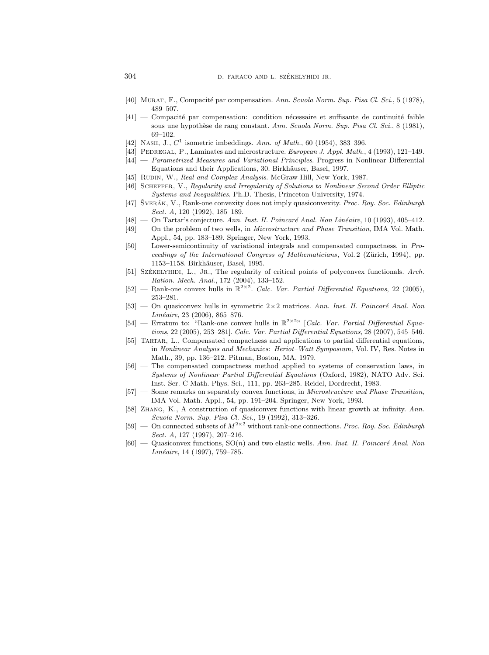- [40] MURAT, F., Compacité par compensation. Ann. Scuola Norm. Sup. Pisa Cl. Sci., 5 (1978), 489–507.
- $[41]$  Compacité par compensation: condition nécessaire et suffisante de continuité faible sous une hypothèse de rang constant. Ann. Scuola Norm. Sup. Pisa Cl. Sci., 8 (1981), 69–102.
- [42] NASH, J.,  $C^1$  isometric imbeddings. Ann. of Math., 60 (1954), 383-396.
- [43] PEDREGAL, P., Laminates and microstructure. European J. Appl. Math., 4 (1993), 121-149.
- [44] Parametrized Measures and Variational Principles. Progress in Nonlinear Differential Equations and their Applications, 30. Birkhäuser, Basel, 1997.
- [45] RUDIN, W., Real and Complex Analysis. McGraw-Hill, New York, 1987.
- [46] Scheffer, V., Regularity and Irregularity of Solutions to Nonlinear Second Order Elliptic Systems and Inequalities. Ph.D. Thesis, Princeton University, 1974.
- [47] SVERÁK, V., Rank-one convexity does not imply quasiconvexity. Proc. Roy. Soc. Edinburgh Sect. A, 120 (1992), 185–189.
- $[48]$  On Tartar's conjecture. Ann. Inst. H. Poincaré Anal. Non Linéaire, 10 (1993), 405–412.
- [49] On the problem of two wells, in Microstructure and Phase Transition, IMA Vol. Math. Appl., 54, pp. 183–189. Springer, New York, 1993.
- [50] Lower-semicontinuity of variational integrals and compensated compactness, in Proceedings of the International Congress of Mathematicians, Vol. 2 (Zürich, 1994), pp. 1153–1158. Birkhäuser, Basel, 1995.
- [51] SZÉKELYHIDI, L., JR., The regularity of critical points of polyconvex functionals. Arch. Ration. Mech. Anal., 172 (2004), 133–152.
- [52] Rank-one convex hulls in  $\mathbb{R}^{2\times 2}$ . Calc. Var. Partial Differential Equations, 22 (2005), 253–281.
- [53] On quasiconvex hulls in symmetric  $2 \times 2$  matrices. Ann. Inst. H. Poincaré Anal. Non  $Linéaire, 23 (2006), 865–876.$
- [54] Erratum to: "Rank-one convex hulls in  $\mathbb{R}^{2\times 2}$ " [Calc. Var. Partial Differential Equations, 22 (2005), 253–281]. Calc. Var. Partial Differential Equations, 28 (2007), 545–546.
- [55] Tartar, L., Compensated compactness and applications to partial differential equations, in Nonlinear Analysis and Mechanics: Heriot–Watt Symposium, Vol. IV, Res. Notes in Math., 39, pp. 136–212. Pitman, Boston, MA, 1979.
- [56] The compensated compactness method applied to systems of conservation laws, in Systems of Nonlinear Partial Differential Equations (Oxford, 1982), NATO Adv. Sci. Inst. Ser. C Math. Phys. Sci., 111, pp. 263–285. Reidel, Dordrecht, 1983.
- [57] Some remarks on separately convex functions, in Microstructure and Phase Transition, IMA Vol. Math. Appl., 54, pp. 191–204. Springer, New York, 1993.
- [58] Zhang, K., A construction of quasiconvex functions with linear growth at infinity. Ann. Scuola Norm. Sup. Pisa Cl. Sci., 19 (1992), 313–326.
- [59] On connected subsets of  $M^{2\times 2}$  without rank-one connections. Proc. Roy. Soc. Edinburgh Sect. A, 127 (1997), 207–216.
- $[60]$  Quasiconvex functions,  $SO(n)$  and two elastic wells. Ann. Inst. H. Poincaré Anal. Non  $Lin\acute{e}aire$ , 14 (1997), 759–785.